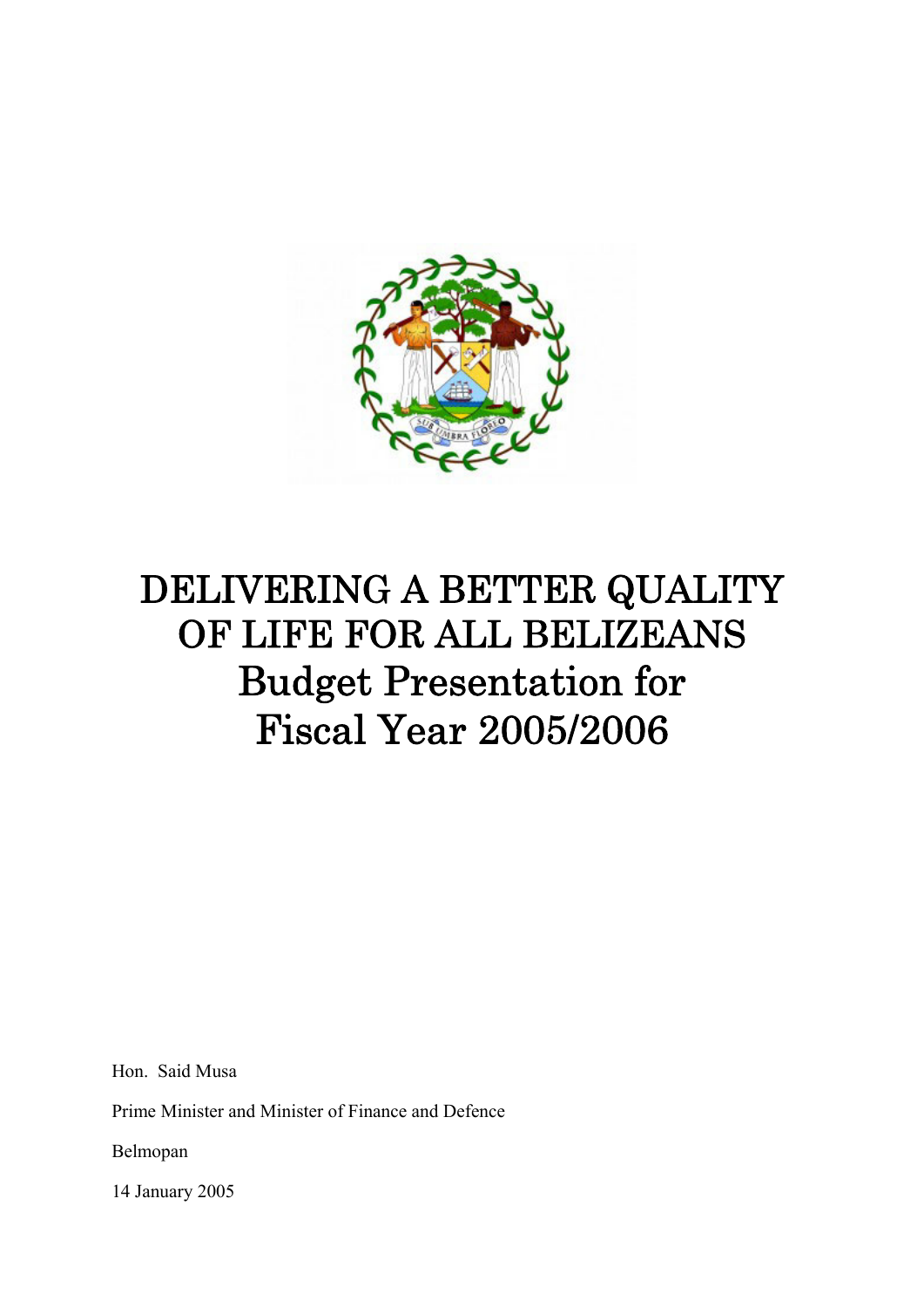

# DELIVERING A BETTER QUALITY OF LIFE FOR ALL BELIZEANS Budget Presentation for Fiscal Year 2005/2006

Hon. Said Musa

Prime Minister and Minister of Finance and Defence

Belmopan

14 January 2005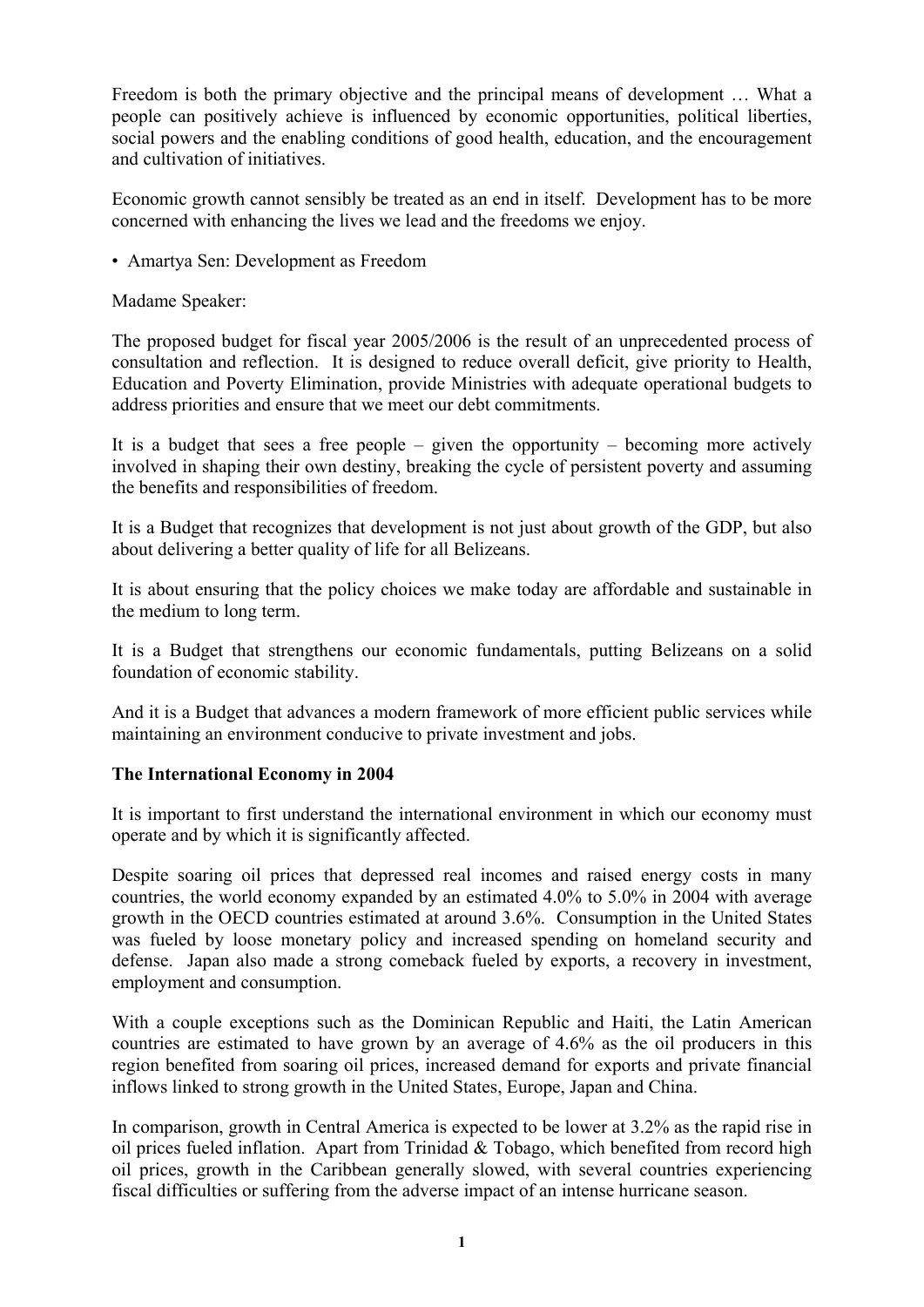Freedom is both the primary objective and the principal means of development … What a people can positively achieve is influenced by economic opportunities, political liberties, social powers and the enabling conditions of good health, education, and the encouragement and cultivation of initiatives.

Economic growth cannot sensibly be treated as an end in itself. Development has to be more concerned with enhancing the lives we lead and the freedoms we enjoy.

• Amartya Sen: Development as Freedom

Madame Speaker:

The proposed budget for fiscal year 2005/2006 is the result of an unprecedented process of consultation and reflection. It is designed to reduce overall deficit, give priority to Health, Education and Poverty Elimination, provide Ministries with adequate operational budgets to address priorities and ensure that we meet our debt commitments.

It is a budget that sees a free people – given the opportunity – becoming more actively involved in shaping their own destiny, breaking the cycle of persistent poverty and assuming the benefits and responsibilities of freedom.

It is a Budget that recognizes that development is not just about growth of the GDP, but also about delivering a better quality of life for all Belizeans.

It is about ensuring that the policy choices we make today are affordable and sustainable in the medium to long term.

It is a Budget that strengthens our economic fundamentals, putting Belizeans on a solid foundation of economic stability.

And it is a Budget that advances a modern framework of more efficient public services while maintaining an environment conducive to private investment and jobs.

#### **The International Economy in 2004**

It is important to first understand the international environment in which our economy must operate and by which it is significantly affected.

Despite soaring oil prices that depressed real incomes and raised energy costs in many countries, the world economy expanded by an estimated 4.0% to 5.0% in 2004 with average growth in the OECD countries estimated at around 3.6%. Consumption in the United States was fueled by loose monetary policy and increased spending on homeland security and defense. Japan also made a strong comeback fueled by exports, a recovery in investment, employment and consumption.

With a couple exceptions such as the Dominican Republic and Haiti, the Latin American countries are estimated to have grown by an average of 4.6% as the oil producers in this region benefited from soaring oil prices, increased demand for exports and private financial inflows linked to strong growth in the United States, Europe, Japan and China.

In comparison, growth in Central America is expected to be lower at 3.2% as the rapid rise in oil prices fueled inflation. Apart from Trinidad & Tobago, which benefited from record high oil prices, growth in the Caribbean generally slowed, with several countries experiencing fiscal difficulties or suffering from the adverse impact of an intense hurricane season.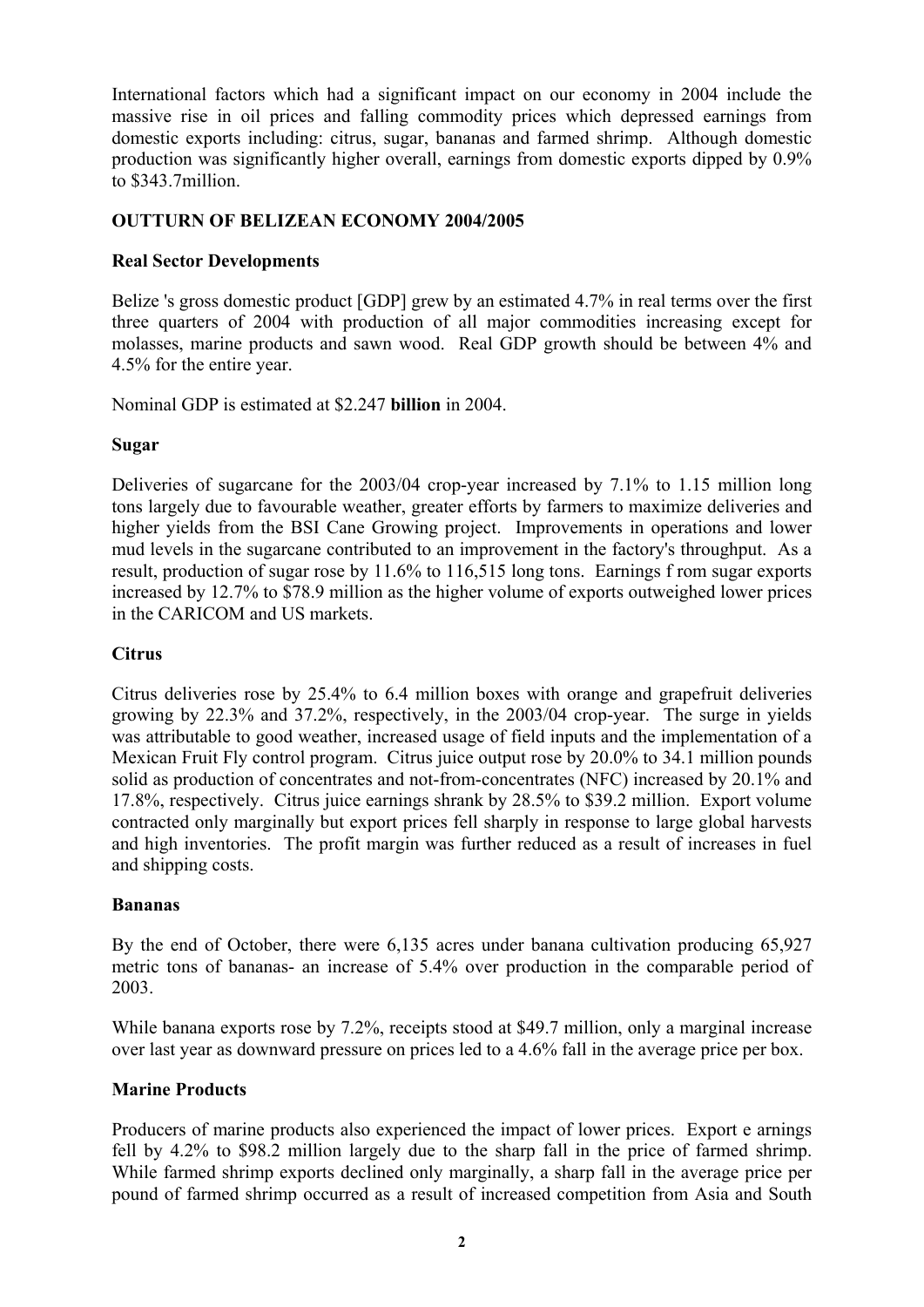International factors which had a significant impact on our economy in 2004 include the massive rise in oil prices and falling commodity prices which depressed earnings from domestic exports including: citrus, sugar, bananas and farmed shrimp. Although domestic production was significantly higher overall, earnings from domestic exports dipped by 0.9% to \$343.7million.

# **OUTTURN OF BELIZEAN ECONOMY 2004/2005**

#### **Real Sector Developments**

Belize 's gross domestic product [GDP] grew by an estimated 4.7% in real terms over the first three quarters of 2004 with production of all major commodities increasing except for molasses, marine products and sawn wood. Real GDP growth should be between 4% and 4.5% for the entire year.

Nominal GDP is estimated at \$2.247 **billion** in 2004.

#### **Sugar**

Deliveries of sugarcane for the 2003/04 crop-year increased by 7.1% to 1.15 million long tons largely due to favourable weather, greater efforts by farmers to maximize deliveries and higher yields from the BSI Cane Growing project. Improvements in operations and lower mud levels in the sugarcane contributed to an improvement in the factory's throughput. As a result, production of sugar rose by 11.6% to 116,515 long tons. Earnings f rom sugar exports increased by 12.7% to \$78.9 million as the higher volume of exports outweighed lower prices in the CARICOM and US markets.

# **Citrus**

Citrus deliveries rose by 25.4% to 6.4 million boxes with orange and grapefruit deliveries growing by 22.3% and 37.2%, respectively, in the 2003/04 crop-year. The surge in yields was attributable to good weather, increased usage of field inputs and the implementation of a Mexican Fruit Fly control program. Citrus juice output rose by 20.0% to 34.1 million pounds solid as production of concentrates and not-from-concentrates (NFC) increased by 20.1% and 17.8%, respectively. Citrus juice earnings shrank by 28.5% to \$39.2 million. Export volume contracted only marginally but export prices fell sharply in response to large global harvests and high inventories. The profit margin was further reduced as a result of increases in fuel and shipping costs.

#### **Bananas**

By the end of October, there were 6,135 acres under banana cultivation producing 65,927 metric tons of bananas- an increase of 5.4% over production in the comparable period of 2003.

While banana exports rose by 7.2%, receipts stood at \$49.7 million, only a marginal increase over last year as downward pressure on prices led to a 4.6% fall in the average price per box.

# **Marine Products**

Producers of marine products also experienced the impact of lower prices. Export e arnings fell by 4.2% to \$98.2 million largely due to the sharp fall in the price of farmed shrimp. While farmed shrimp exports declined only marginally, a sharp fall in the average price per pound of farmed shrimp occurred as a result of increased competition from Asia and South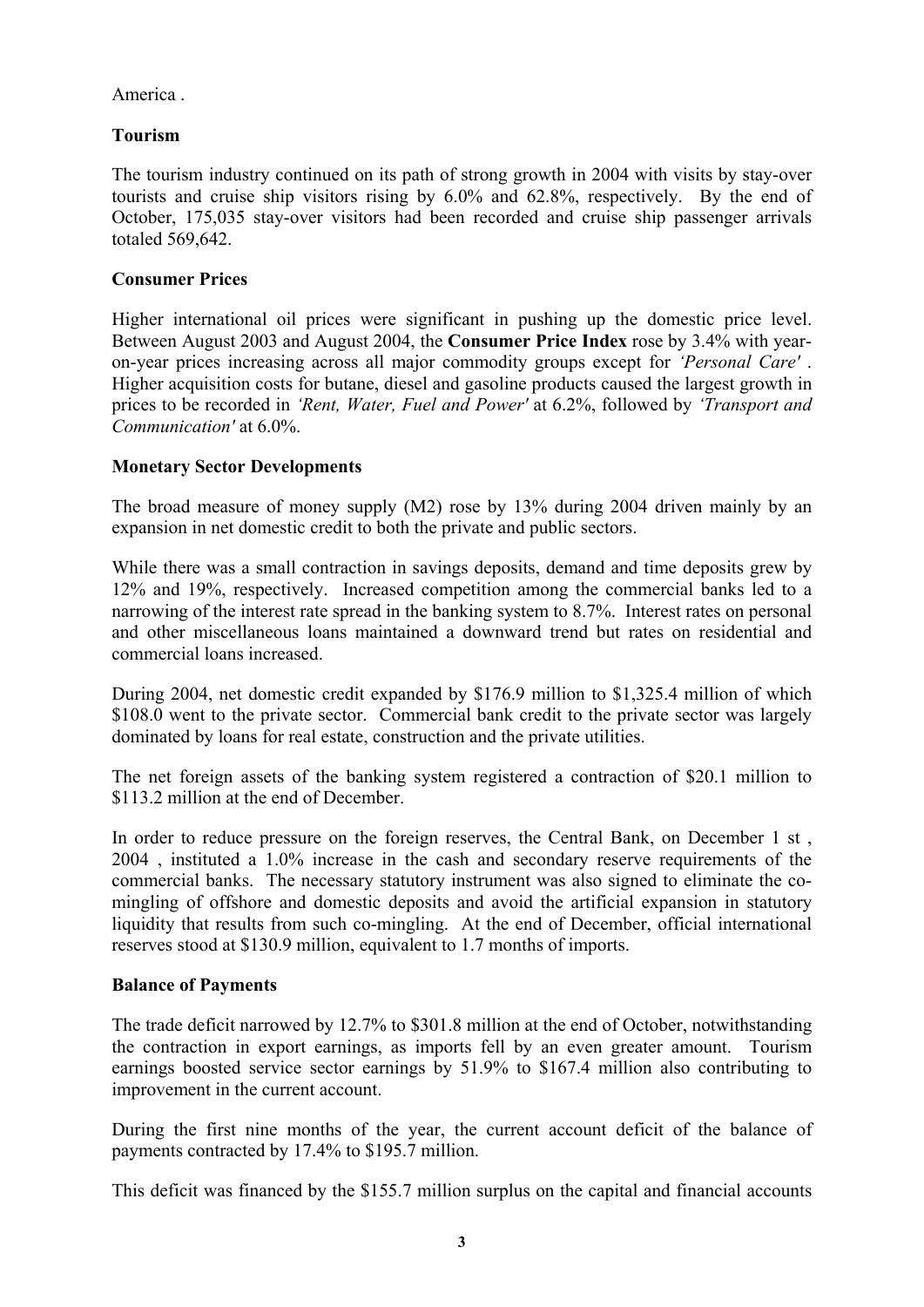America .

# **Tourism**

The tourism industry continued on its path of strong growth in 2004 with visits by stay-over tourists and cruise ship visitors rising by 6.0% and 62.8%, respectively. By the end of October, 175,035 stay-over visitors had been recorded and cruise ship passenger arrivals totaled 569,642.

# **Consumer Prices**

Higher international oil prices were significant in pushing up the domestic price level. Between August 2003 and August 2004, the **Consumer Price Index** rose by 3.4% with yearon-year prices increasing across all major commodity groups except for *'Personal Care'* . Higher acquisition costs for butane, diesel and gasoline products caused the largest growth in prices to be recorded in *'Rent, Water, Fuel and Power'* at 6.2%, followed by *'Transport and Communication'* at 6.0%.

# **Monetary Sector Developments**

The broad measure of money supply (M2) rose by 13% during 2004 driven mainly by an expansion in net domestic credit to both the private and public sectors.

While there was a small contraction in savings deposits, demand and time deposits grew by 12% and 19%, respectively. Increased competition among the commercial banks led to a narrowing of the interest rate spread in the banking system to 8.7%. Interest rates on personal and other miscellaneous loans maintained a downward trend but rates on residential and commercial loans increased.

During 2004, net domestic credit expanded by \$176.9 million to \$1,325.4 million of which \$108.0 went to the private sector. Commercial bank credit to the private sector was largely dominated by loans for real estate, construction and the private utilities.

The net foreign assets of the banking system registered a contraction of \$20.1 million to \$113.2 million at the end of December.

In order to reduce pressure on the foreign reserves, the Central Bank, on December 1 st , 2004 , instituted a 1.0% increase in the cash and secondary reserve requirements of the commercial banks. The necessary statutory instrument was also signed to eliminate the comingling of offshore and domestic deposits and avoid the artificial expansion in statutory liquidity that results from such co-mingling. At the end of December, official international reserves stood at \$130.9 million, equivalent to 1.7 months of imports.

# **Balance of Payments**

The trade deficit narrowed by 12.7% to \$301.8 million at the end of October, notwithstanding the contraction in export earnings, as imports fell by an even greater amount. Tourism earnings boosted service sector earnings by 51.9% to \$167.4 million also contributing to improvement in the current account.

During the first nine months of the year, the current account deficit of the balance of payments contracted by 17.4% to \$195.7 million.

This deficit was financed by the \$155.7 million surplus on the capital and financial accounts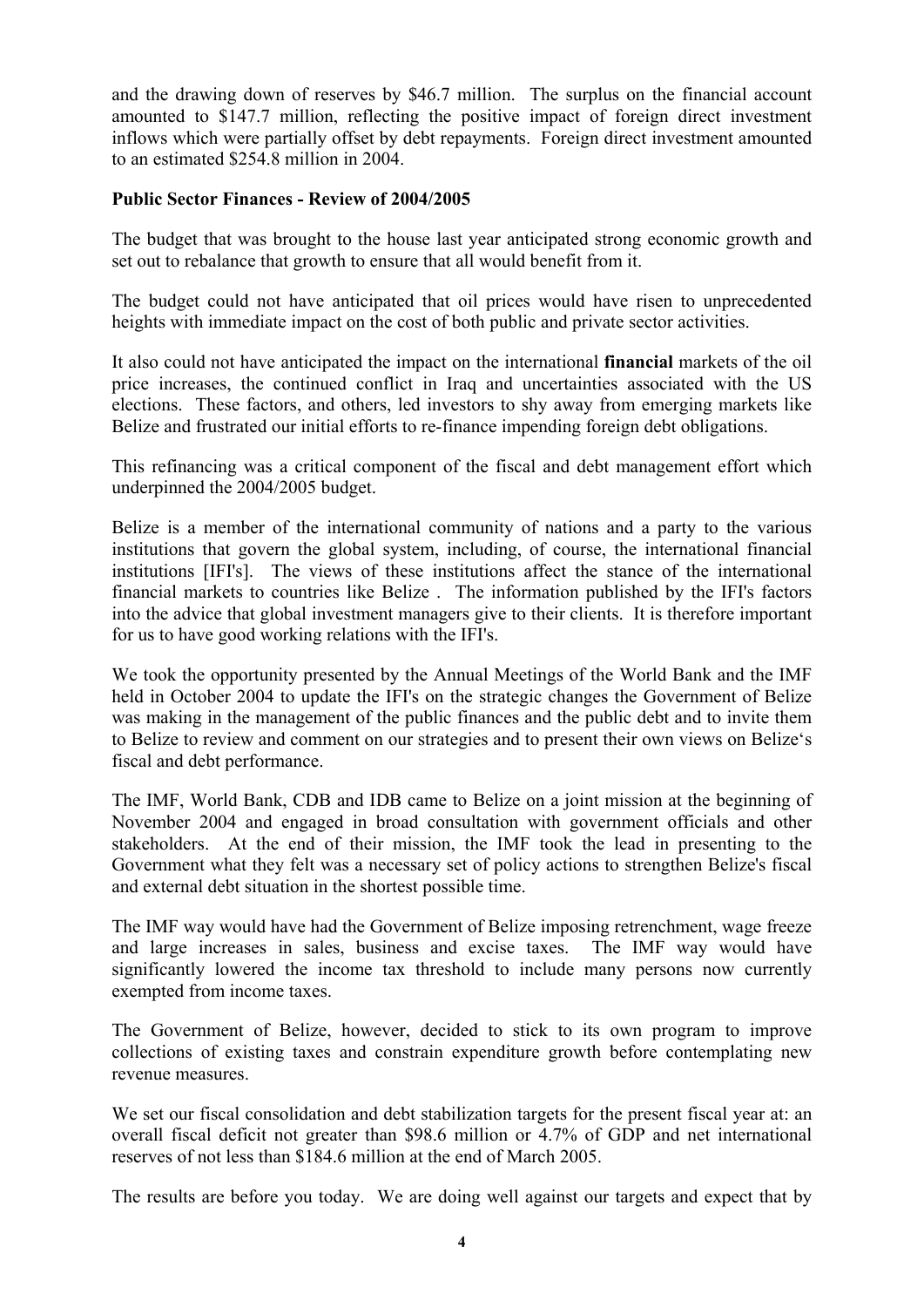and the drawing down of reserves by \$46.7 million. The surplus on the financial account amounted to \$147.7 million, reflecting the positive impact of foreign direct investment inflows which were partially offset by debt repayments. Foreign direct investment amounted to an estimated \$254.8 million in 2004.

# **Public Sector Finances - Review of 2004/2005**

The budget that was brought to the house last year anticipated strong economic growth and set out to rebalance that growth to ensure that all would benefit from it.

The budget could not have anticipated that oil prices would have risen to unprecedented heights with immediate impact on the cost of both public and private sector activities.

It also could not have anticipated the impact on the international **financial** markets of the oil price increases, the continued conflict in Iraq and uncertainties associated with the US elections. These factors, and others, led investors to shy away from emerging markets like Belize and frustrated our initial efforts to re-finance impending foreign debt obligations.

This refinancing was a critical component of the fiscal and debt management effort which underpinned the 2004/2005 budget.

Belize is a member of the international community of nations and a party to the various institutions that govern the global system, including, of course, the international financial institutions [IFI's]. The views of these institutions affect the stance of the international financial markets to countries like Belize . The information published by the IFI's factors into the advice that global investment managers give to their clients. It is therefore important for us to have good working relations with the IFI's.

We took the opportunity presented by the Annual Meetings of the World Bank and the IMF held in October 2004 to update the IFI's on the strategic changes the Government of Belize was making in the management of the public finances and the public debt and to invite them to Belize to review and comment on our strategies and to present their own views on Belize's fiscal and debt performance.

The IMF, World Bank, CDB and IDB came to Belize on a joint mission at the beginning of November 2004 and engaged in broad consultation with government officials and other stakeholders. At the end of their mission, the IMF took the lead in presenting to the Government what they felt was a necessary set of policy actions to strengthen Belize's fiscal and external debt situation in the shortest possible time.

The IMF way would have had the Government of Belize imposing retrenchment, wage freeze and large increases in sales, business and excise taxes. The IMF way would have significantly lowered the income tax threshold to include many persons now currently exempted from income taxes.

The Government of Belize, however, decided to stick to its own program to improve collections of existing taxes and constrain expenditure growth before contemplating new revenue measures.

We set our fiscal consolidation and debt stabilization targets for the present fiscal year at: an overall fiscal deficit not greater than \$98.6 million or 4.7% of GDP and net international reserves of not less than \$184.6 million at the end of March 2005.

The results are before you today. We are doing well against our targets and expect that by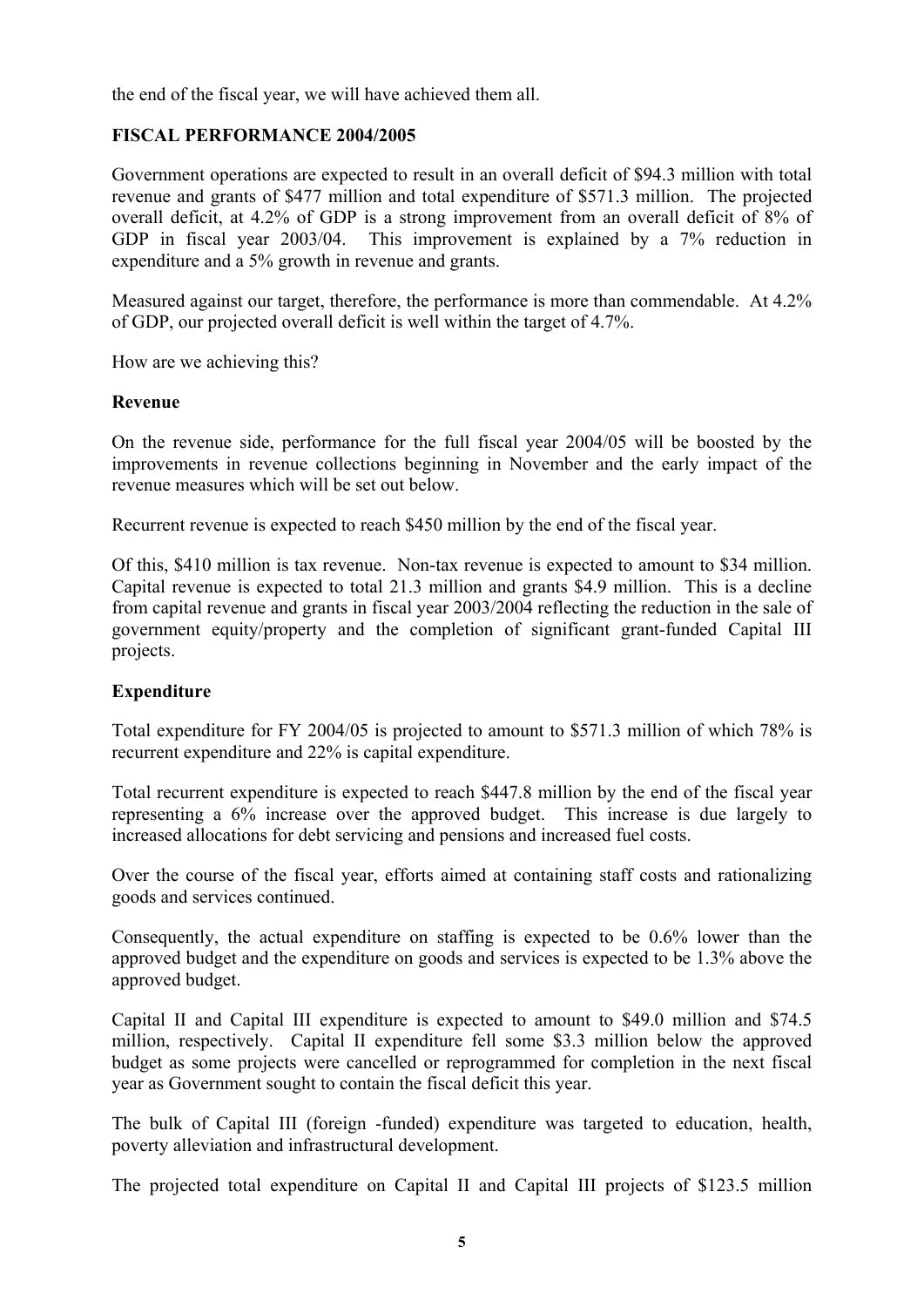the end of the fiscal year, we will have achieved them all.

#### **FISCAL PERFORMANCE 2004/2005**

Government operations are expected to result in an overall deficit of \$94.3 million with total revenue and grants of \$477 million and total expenditure of \$571.3 million. The projected overall deficit, at 4.2% of GDP is a strong improvement from an overall deficit of 8% of GDP in fiscal year 2003/04. This improvement is explained by a 7% reduction in expenditure and a 5% growth in revenue and grants.

Measured against our target, therefore, the performance is more than commendable. At 4.2% of GDP, our projected overall deficit is well within the target of 4.7%.

How are we achieving this?

#### **Revenue**

On the revenue side, performance for the full fiscal year 2004/05 will be boosted by the improvements in revenue collections beginning in November and the early impact of the revenue measures which will be set out below.

Recurrent revenue is expected to reach \$450 million by the end of the fiscal year.

Of this, \$410 million is tax revenue. Non-tax revenue is expected to amount to \$34 million. Capital revenue is expected to total 21.3 million and grants \$4.9 million. This is a decline from capital revenue and grants in fiscal year 2003/2004 reflecting the reduction in the sale of government equity/property and the completion of significant grant-funded Capital III projects.

#### **Expenditure**

Total expenditure for FY 2004/05 is projected to amount to \$571.3 million of which 78% is recurrent expenditure and 22% is capital expenditure.

Total recurrent expenditure is expected to reach \$447.8 million by the end of the fiscal year representing a 6% increase over the approved budget. This increase is due largely to increased allocations for debt servicing and pensions and increased fuel costs.

Over the course of the fiscal year, efforts aimed at containing staff costs and rationalizing goods and services continued.

Consequently, the actual expenditure on staffing is expected to be 0.6% lower than the approved budget and the expenditure on goods and services is expected to be 1.3% above the approved budget.

Capital II and Capital III expenditure is expected to amount to \$49.0 million and \$74.5 million, respectively. Capital II expenditure fell some \$3.3 million below the approved budget as some projects were cancelled or reprogrammed for completion in the next fiscal year as Government sought to contain the fiscal deficit this year.

The bulk of Capital III (foreign -funded) expenditure was targeted to education, health, poverty alleviation and infrastructural development.

The projected total expenditure on Capital II and Capital III projects of \$123.5 million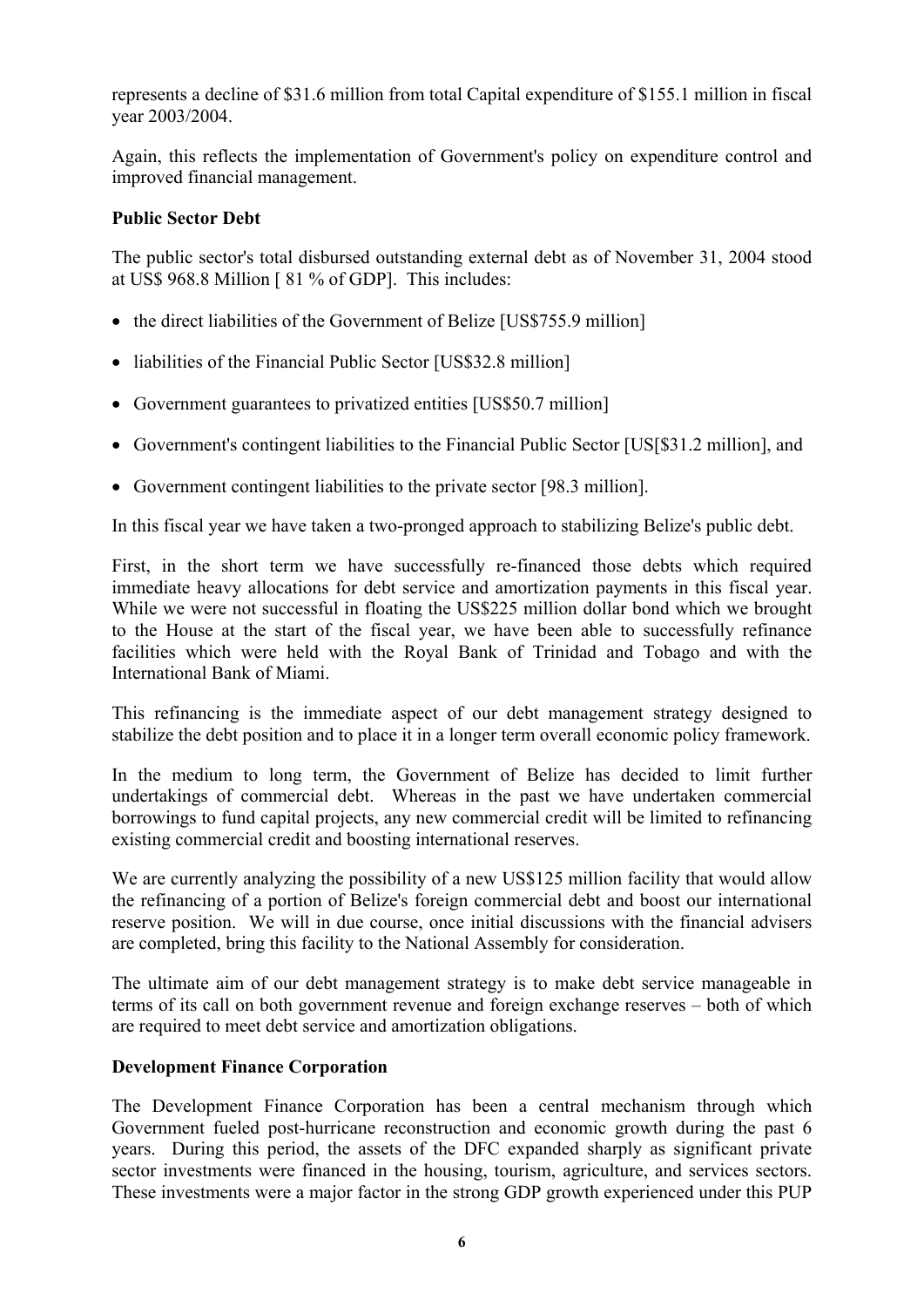represents a decline of \$31.6 million from total Capital expenditure of \$155.1 million in fiscal year 2003/2004.

Again, this reflects the implementation of Government's policy on expenditure control and improved financial management.

# **Public Sector Debt**

The public sector's total disbursed outstanding external debt as of November 31, 2004 stood at US\$ 968.8 Million [ 81 % of GDP]. This includes:

- the direct liabilities of the Government of Belize [US\$755.9 million]
- liabilities of the Financial Public Sector [US\$32.8 million]
- Government guarantees to privatized entities [US\$50.7 million]
- Government's contingent liabilities to the Financial Public Sector [US[\$31.2 million], and
- Government contingent liabilities to the private sector [98.3 million].

In this fiscal year we have taken a two-pronged approach to stabilizing Belize's public debt.

First, in the short term we have successfully re-financed those debts which required immediate heavy allocations for debt service and amortization payments in this fiscal year. While we were not successful in floating the US\$225 million dollar bond which we brought to the House at the start of the fiscal year, we have been able to successfully refinance facilities which were held with the Royal Bank of Trinidad and Tobago and with the International Bank of Miami.

This refinancing is the immediate aspect of our debt management strategy designed to stabilize the debt position and to place it in a longer term overall economic policy framework.

In the medium to long term, the Government of Belize has decided to limit further undertakings of commercial debt. Whereas in the past we have undertaken commercial borrowings to fund capital projects, any new commercial credit will be limited to refinancing existing commercial credit and boosting international reserves.

We are currently analyzing the possibility of a new US\$125 million facility that would allow the refinancing of a portion of Belize's foreign commercial debt and boost our international reserve position. We will in due course, once initial discussions with the financial advisers are completed, bring this facility to the National Assembly for consideration.

The ultimate aim of our debt management strategy is to make debt service manageable in terms of its call on both government revenue and foreign exchange reserves – both of which are required to meet debt service and amortization obligations.

# **Development Finance Corporation**

The Development Finance Corporation has been a central mechanism through which Government fueled post-hurricane reconstruction and economic growth during the past 6 years. During this period, the assets of the DFC expanded sharply as significant private sector investments were financed in the housing, tourism, agriculture, and services sectors. These investments were a major factor in the strong GDP growth experienced under this PUP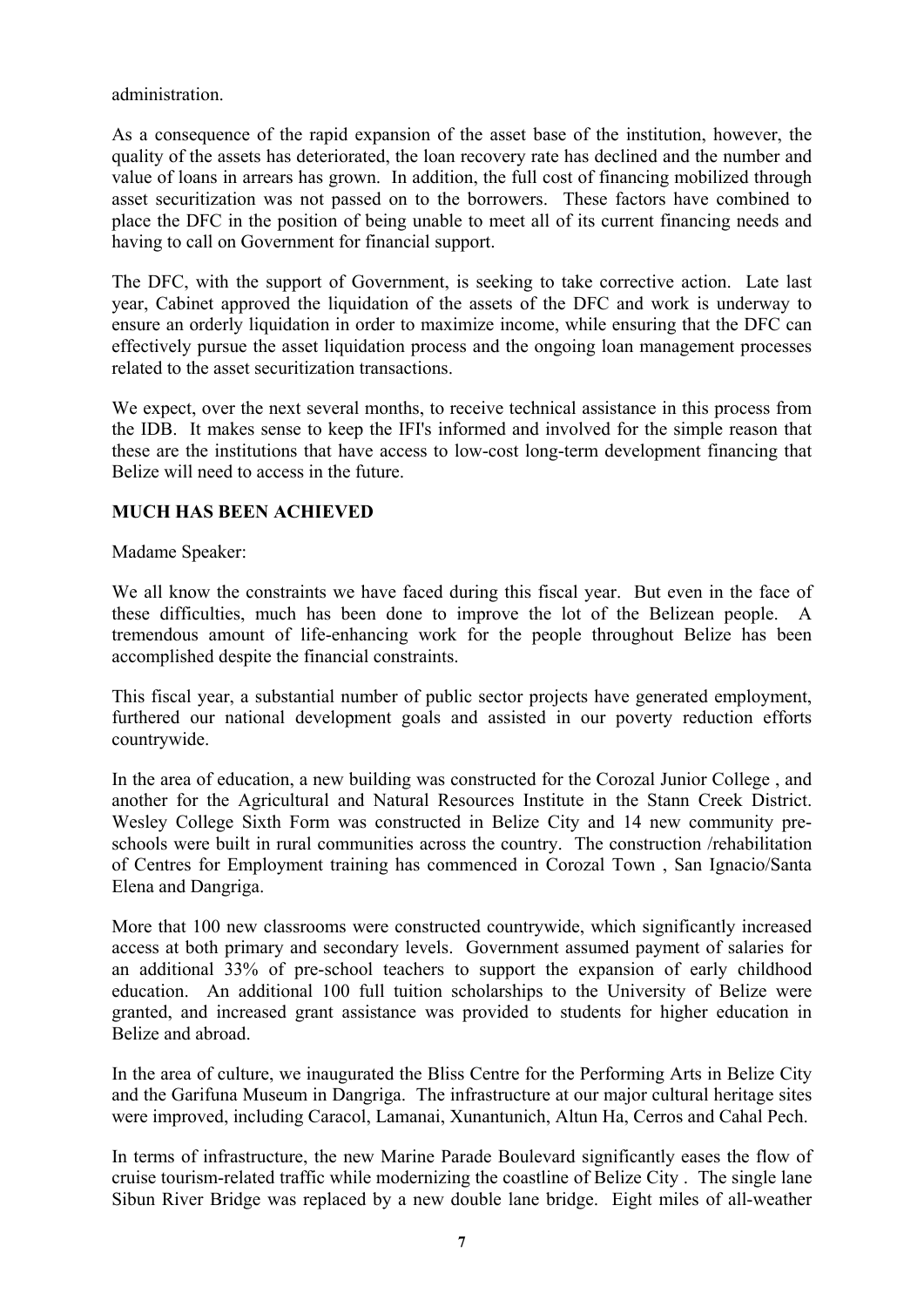administration.

As a consequence of the rapid expansion of the asset base of the institution, however, the quality of the assets has deteriorated, the loan recovery rate has declined and the number and value of loans in arrears has grown. In addition, the full cost of financing mobilized through asset securitization was not passed on to the borrowers. These factors have combined to place the DFC in the position of being unable to meet all of its current financing needs and having to call on Government for financial support.

The DFC, with the support of Government, is seeking to take corrective action. Late last year, Cabinet approved the liquidation of the assets of the DFC and work is underway to ensure an orderly liquidation in order to maximize income, while ensuring that the DFC can effectively pursue the asset liquidation process and the ongoing loan management processes related to the asset securitization transactions.

We expect, over the next several months, to receive technical assistance in this process from the IDB. It makes sense to keep the IFI's informed and involved for the simple reason that these are the institutions that have access to low-cost long-term development financing that Belize will need to access in the future.

# **MUCH HAS BEEN ACHIEVED**

Madame Speaker:

We all know the constraints we have faced during this fiscal year. But even in the face of these difficulties, much has been done to improve the lot of the Belizean people. A tremendous amount of life-enhancing work for the people throughout Belize has been accomplished despite the financial constraints.

This fiscal year, a substantial number of public sector projects have generated employment, furthered our national development goals and assisted in our poverty reduction efforts countrywide.

In the area of education, a new building was constructed for the Corozal Junior College , and another for the Agricultural and Natural Resources Institute in the Stann Creek District. Wesley College Sixth Form was constructed in Belize City and 14 new community preschools were built in rural communities across the country. The construction /rehabilitation of Centres for Employment training has commenced in Corozal Town , San Ignacio/Santa Elena and Dangriga.

More that 100 new classrooms were constructed countrywide, which significantly increased access at both primary and secondary levels. Government assumed payment of salaries for an additional 33% of pre-school teachers to support the expansion of early childhood education. An additional 100 full tuition scholarships to the University of Belize were granted, and increased grant assistance was provided to students for higher education in Belize and abroad.

In the area of culture, we inaugurated the Bliss Centre for the Performing Arts in Belize City and the Garifuna Museum in Dangriga. The infrastructure at our major cultural heritage sites were improved, including Caracol, Lamanai, Xunantunich, Altun Ha, Cerros and Cahal Pech.

In terms of infrastructure, the new Marine Parade Boulevard significantly eases the flow of cruise tourism-related traffic while modernizing the coastline of Belize City . The single lane Sibun River Bridge was replaced by a new double lane bridge. Eight miles of all-weather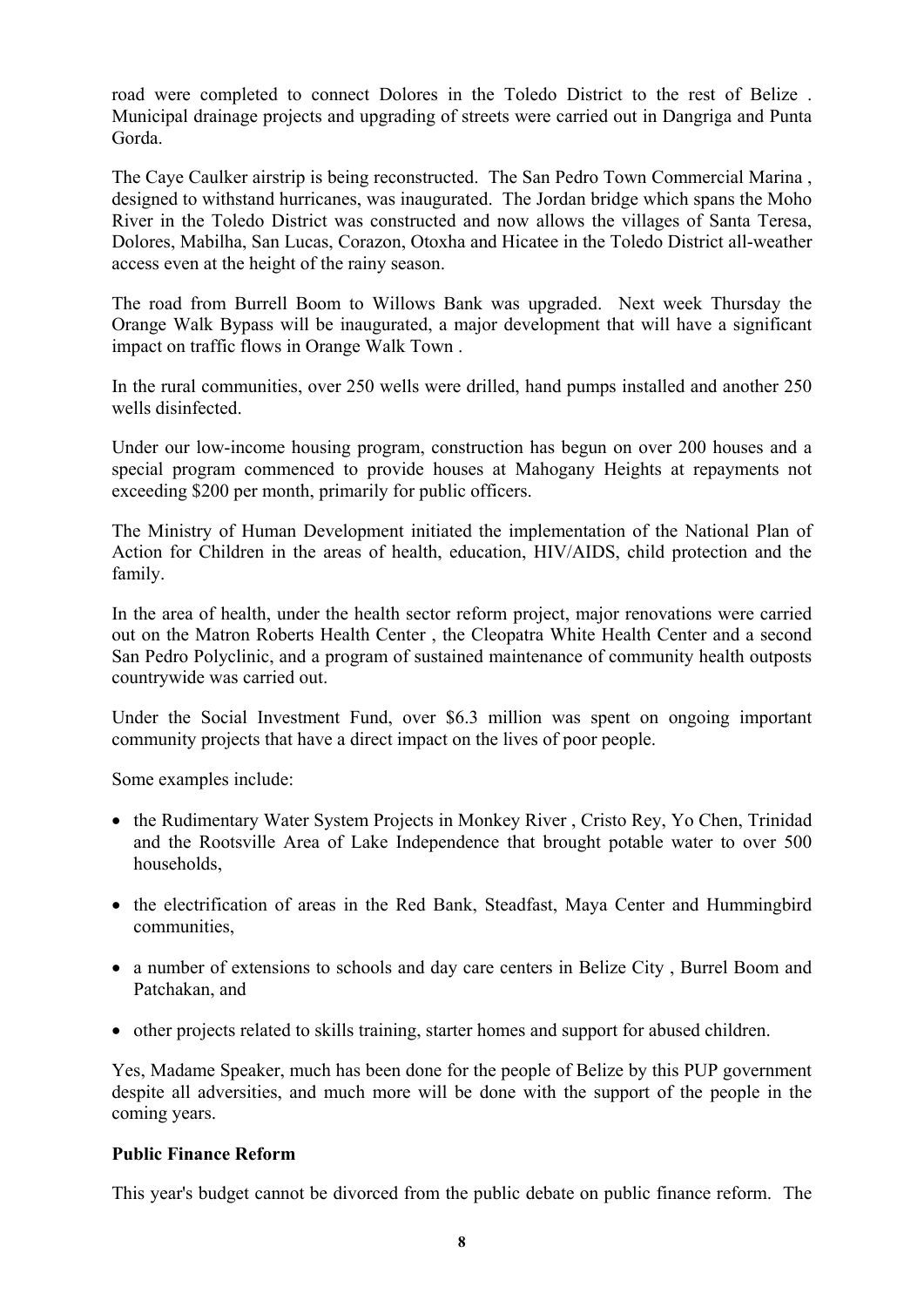road were completed to connect Dolores in the Toledo District to the rest of Belize . Municipal drainage projects and upgrading of streets were carried out in Dangriga and Punta Gorda.

The Caye Caulker airstrip is being reconstructed. The San Pedro Town Commercial Marina , designed to withstand hurricanes, was inaugurated. The Jordan bridge which spans the Moho River in the Toledo District was constructed and now allows the villages of Santa Teresa, Dolores, Mabilha, San Lucas, Corazon, Otoxha and Hicatee in the Toledo District all-weather access even at the height of the rainy season.

The road from Burrell Boom to Willows Bank was upgraded. Next week Thursday the Orange Walk Bypass will be inaugurated, a major development that will have a significant impact on traffic flows in Orange Walk Town .

In the rural communities, over 250 wells were drilled, hand pumps installed and another 250 wells disinfected.

Under our low-income housing program, construction has begun on over 200 houses and a special program commenced to provide houses at Mahogany Heights at repayments not exceeding \$200 per month, primarily for public officers.

The Ministry of Human Development initiated the implementation of the National Plan of Action for Children in the areas of health, education, HIV/AIDS, child protection and the family.

In the area of health, under the health sector reform project, major renovations were carried out on the Matron Roberts Health Center , the Cleopatra White Health Center and a second San Pedro Polyclinic, and a program of sustained maintenance of community health outposts countrywide was carried out.

Under the Social Investment Fund, over \$6.3 million was spent on ongoing important community projects that have a direct impact on the lives of poor people.

Some examples include:

- the Rudimentary Water System Projects in Monkey River, Cristo Rey, Yo Chen, Trinidad and the Rootsville Area of Lake Independence that brought potable water to over 500 households,
- the electrification of areas in the Red Bank, Steadfast, Maya Center and Hummingbird communities,
- a number of extensions to schools and day care centers in Belize City, Burrel Boom and Patchakan, and
- other projects related to skills training, starter homes and support for abused children.

Yes, Madame Speaker, much has been done for the people of Belize by this PUP government despite all adversities, and much more will be done with the support of the people in the coming years.

#### **Public Finance Reform**

This year's budget cannot be divorced from the public debate on public finance reform. The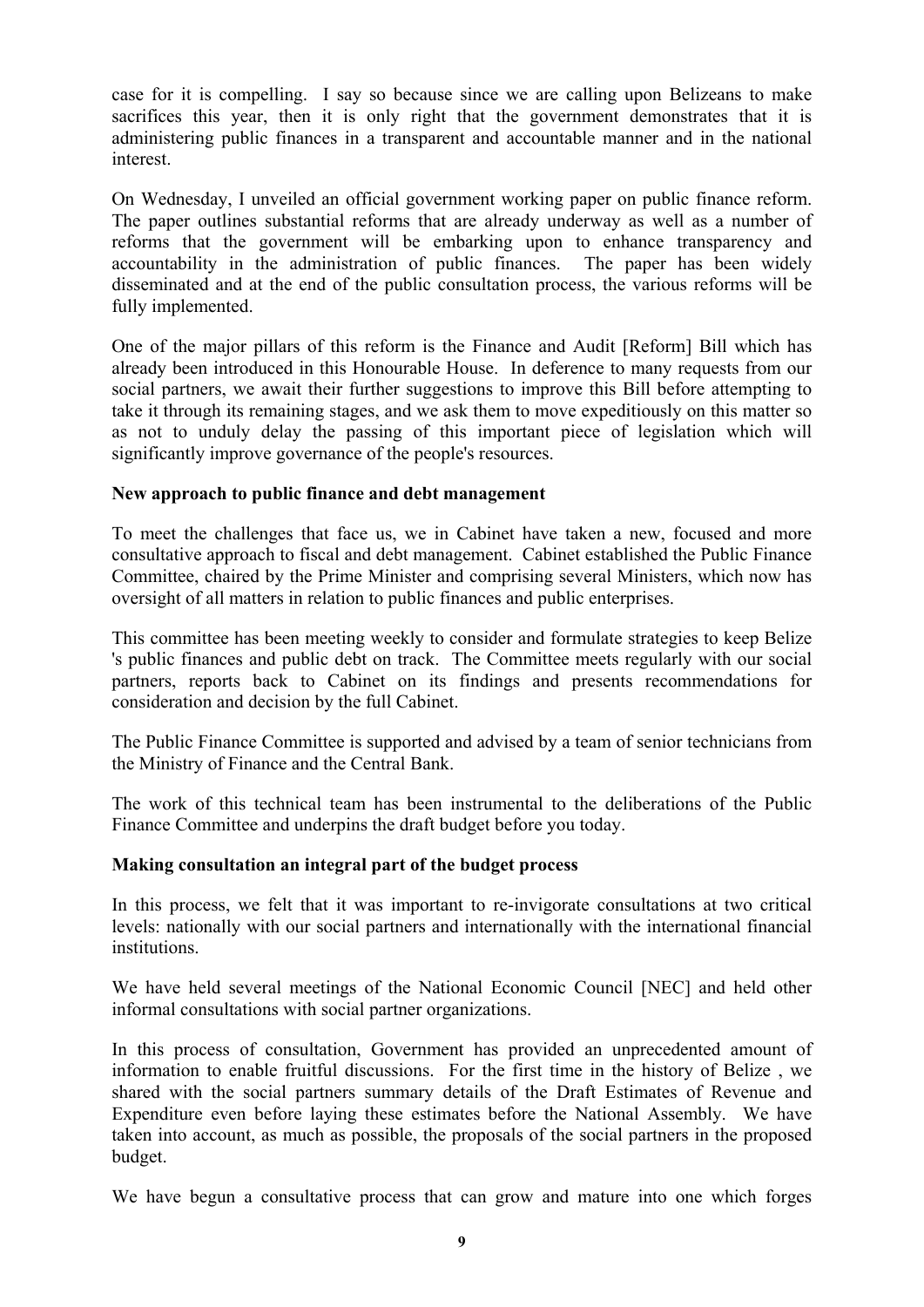case for it is compelling. I say so because since we are calling upon Belizeans to make sacrifices this year, then it is only right that the government demonstrates that it is administering public finances in a transparent and accountable manner and in the national interest.

On Wednesday, I unveiled an official government working paper on public finance reform. The paper outlines substantial reforms that are already underway as well as a number of reforms that the government will be embarking upon to enhance transparency and accountability in the administration of public finances. The paper has been widely disseminated and at the end of the public consultation process, the various reforms will be fully implemented.

One of the major pillars of this reform is the Finance and Audit [Reform] Bill which has already been introduced in this Honourable House. In deference to many requests from our social partners, we await their further suggestions to improve this Bill before attempting to take it through its remaining stages, and we ask them to move expeditiously on this matter so as not to unduly delay the passing of this important piece of legislation which will significantly improve governance of the people's resources.

#### **New approach to public finance and debt management**

To meet the challenges that face us, we in Cabinet have taken a new, focused and more consultative approach to fiscal and debt management. Cabinet established the Public Finance Committee, chaired by the Prime Minister and comprising several Ministers, which now has oversight of all matters in relation to public finances and public enterprises.

This committee has been meeting weekly to consider and formulate strategies to keep Belize 's public finances and public debt on track. The Committee meets regularly with our social partners, reports back to Cabinet on its findings and presents recommendations for consideration and decision by the full Cabinet.

The Public Finance Committee is supported and advised by a team of senior technicians from the Ministry of Finance and the Central Bank.

The work of this technical team has been instrumental to the deliberations of the Public Finance Committee and underpins the draft budget before you today.

# **Making consultation an integral part of the budget process**

In this process, we felt that it was important to re-invigorate consultations at two critical levels: nationally with our social partners and internationally with the international financial institutions.

We have held several meetings of the National Economic Council [NEC] and held other informal consultations with social partner organizations.

In this process of consultation, Government has provided an unprecedented amount of information to enable fruitful discussions. For the first time in the history of Belize , we shared with the social partners summary details of the Draft Estimates of Revenue and Expenditure even before laying these estimates before the National Assembly. We have taken into account, as much as possible, the proposals of the social partners in the proposed budget.

We have begun a consultative process that can grow and mature into one which forges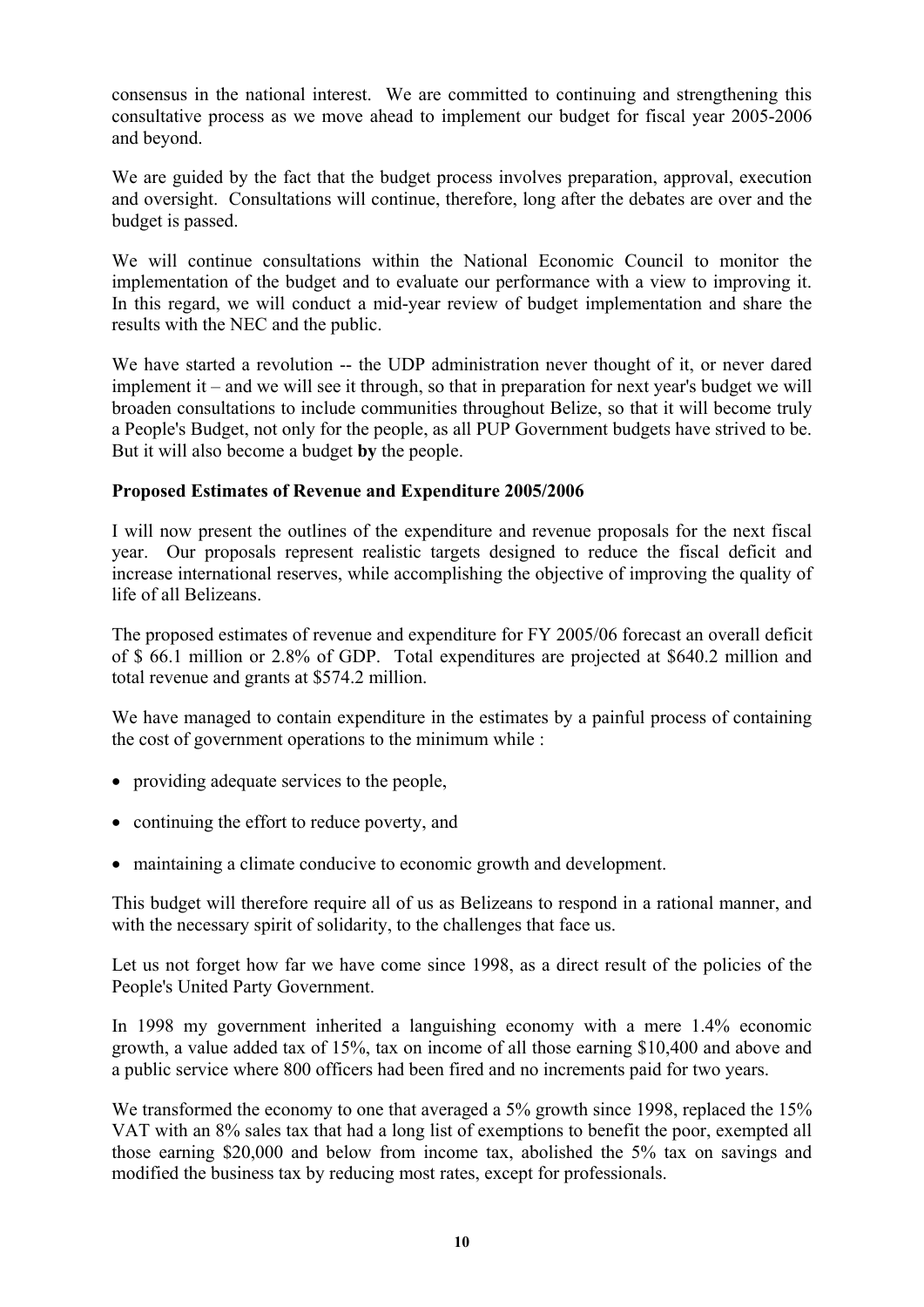consensus in the national interest. We are committed to continuing and strengthening this consultative process as we move ahead to implement our budget for fiscal year 2005-2006 and beyond.

We are guided by the fact that the budget process involves preparation, approval, execution and oversight. Consultations will continue, therefore, long after the debates are over and the budget is passed.

We will continue consultations within the National Economic Council to monitor the implementation of the budget and to evaluate our performance with a view to improving it. In this regard, we will conduct a mid-year review of budget implementation and share the results with the NEC and the public.

We have started a revolution -- the UDP administration never thought of it, or never dared implement it – and we will see it through, so that in preparation for next year's budget we will broaden consultations to include communities throughout Belize, so that it will become truly a People's Budget, not only for the people, as all PUP Government budgets have strived to be. But it will also become a budget **by** the people.

# **Proposed Estimates of Revenue and Expenditure 2005/2006**

I will now present the outlines of the expenditure and revenue proposals for the next fiscal year. Our proposals represent realistic targets designed to reduce the fiscal deficit and increase international reserves, while accomplishing the objective of improving the quality of life of all Belizeans.

The proposed estimates of revenue and expenditure for FY 2005/06 forecast an overall deficit of \$ 66.1 million or 2.8% of GDP. Total expenditures are projected at \$640.2 million and total revenue and grants at \$574.2 million.

We have managed to contain expenditure in the estimates by a painful process of containing the cost of government operations to the minimum while :

- providing adequate services to the people,
- continuing the effort to reduce poverty, and
- maintaining a climate conducive to economic growth and development.

This budget will therefore require all of us as Belizeans to respond in a rational manner, and with the necessary spirit of solidarity, to the challenges that face us.

Let us not forget how far we have come since 1998, as a direct result of the policies of the People's United Party Government.

In 1998 my government inherited a languishing economy with a mere 1.4% economic growth, a value added tax of 15%, tax on income of all those earning \$10,400 and above and a public service where 800 officers had been fired and no increments paid for two years.

We transformed the economy to one that averaged a 5% growth since 1998, replaced the 15% VAT with an 8% sales tax that had a long list of exemptions to benefit the poor, exempted all those earning \$20,000 and below from income tax, abolished the 5% tax on savings and modified the business tax by reducing most rates, except for professionals.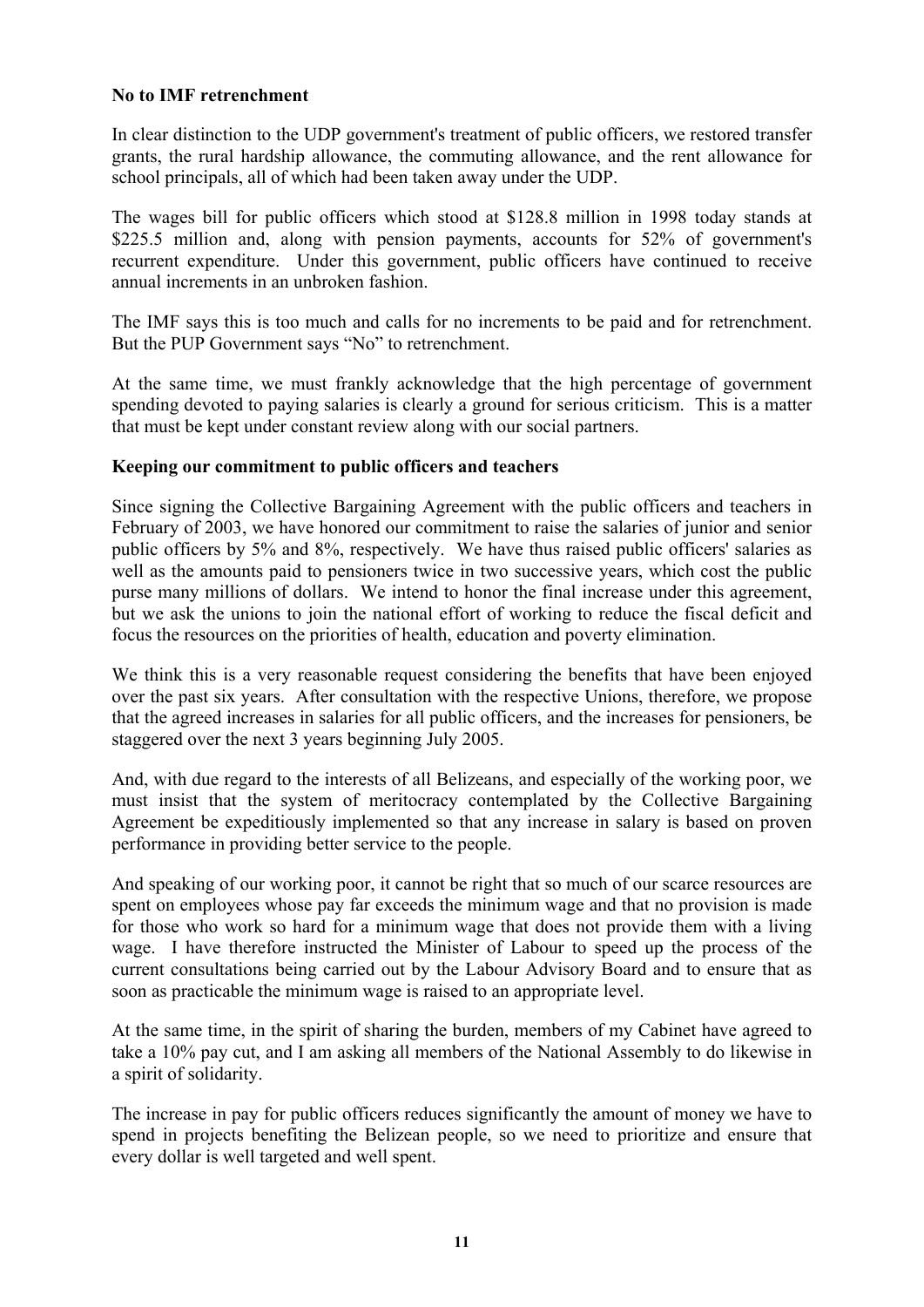#### **No to IMF retrenchment**

In clear distinction to the UDP government's treatment of public officers, we restored transfer grants, the rural hardship allowance, the commuting allowance, and the rent allowance for school principals, all of which had been taken away under the UDP.

The wages bill for public officers which stood at \$128.8 million in 1998 today stands at \$225.5 million and, along with pension payments, accounts for 52% of government's recurrent expenditure. Under this government, public officers have continued to receive annual increments in an unbroken fashion.

The IMF says this is too much and calls for no increments to be paid and for retrenchment. But the PUP Government says "No" to retrenchment.

At the same time, we must frankly acknowledge that the high percentage of government spending devoted to paying salaries is clearly a ground for serious criticism. This is a matter that must be kept under constant review along with our social partners.

#### **Keeping our commitment to public officers and teachers**

Since signing the Collective Bargaining Agreement with the public officers and teachers in February of 2003, we have honored our commitment to raise the salaries of junior and senior public officers by 5% and 8%, respectively. We have thus raised public officers' salaries as well as the amounts paid to pensioners twice in two successive years, which cost the public purse many millions of dollars. We intend to honor the final increase under this agreement, but we ask the unions to join the national effort of working to reduce the fiscal deficit and focus the resources on the priorities of health, education and poverty elimination.

We think this is a very reasonable request considering the benefits that have been enjoyed over the past six years. After consultation with the respective Unions, therefore, we propose that the agreed increases in salaries for all public officers, and the increases for pensioners, be staggered over the next 3 years beginning July 2005.

And, with due regard to the interests of all Belizeans, and especially of the working poor, we must insist that the system of meritocracy contemplated by the Collective Bargaining Agreement be expeditiously implemented so that any increase in salary is based on proven performance in providing better service to the people.

And speaking of our working poor, it cannot be right that so much of our scarce resources are spent on employees whose pay far exceeds the minimum wage and that no provision is made for those who work so hard for a minimum wage that does not provide them with a living wage. I have therefore instructed the Minister of Labour to speed up the process of the current consultations being carried out by the Labour Advisory Board and to ensure that as soon as practicable the minimum wage is raised to an appropriate level.

At the same time, in the spirit of sharing the burden, members of my Cabinet have agreed to take a 10% pay cut, and I am asking all members of the National Assembly to do likewise in a spirit of solidarity.

The increase in pay for public officers reduces significantly the amount of money we have to spend in projects benefiting the Belizean people, so we need to prioritize and ensure that every dollar is well targeted and well spent.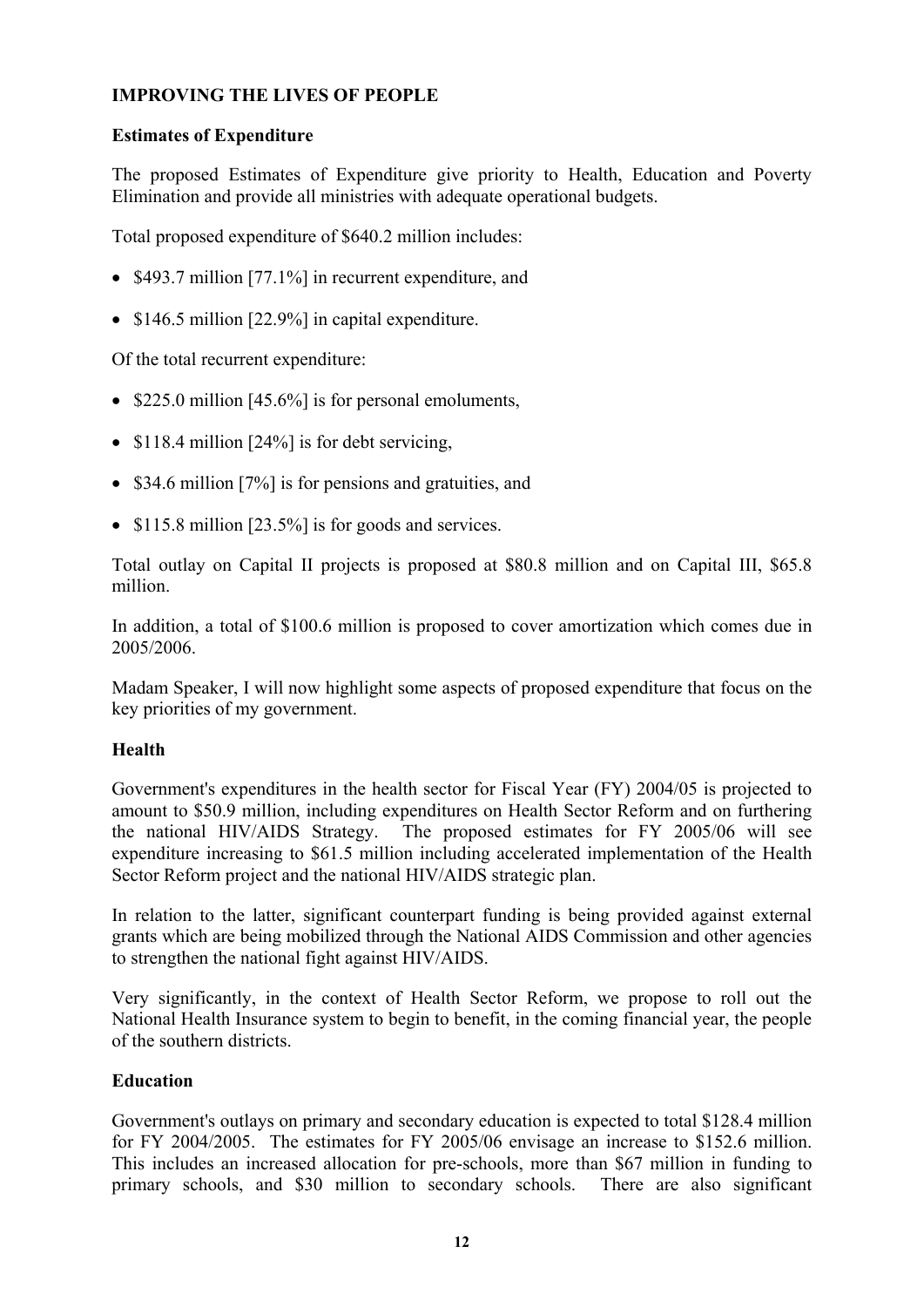# **IMPROVING THE LIVES OF PEOPLE**

# **Estimates of Expenditure**

The proposed Estimates of Expenditure give priority to Health, Education and Poverty Elimination and provide all ministries with adequate operational budgets.

Total proposed expenditure of \$640.2 million includes:

- \$493.7 million [77.1%] in recurrent expenditure, and
- \$146.5 million [22.9%] in capital expenditure.

Of the total recurrent expenditure:

- \$225.0 million [45.6%] is for personal emoluments,
- \$118.4 million [24%] is for debt servicing,
- \$34.6 million [7%] is for pensions and gratuities, and
- \$115.8 million [23.5%] is for goods and services.

Total outlay on Capital II projects is proposed at \$80.8 million and on Capital III, \$65.8 million.

In addition, a total of \$100.6 million is proposed to cover amortization which comes due in 2005/2006.

Madam Speaker, I will now highlight some aspects of proposed expenditure that focus on the key priorities of my government.

# **Health**

Government's expenditures in the health sector for Fiscal Year (FY) 2004/05 is projected to amount to \$50.9 million, including expenditures on Health Sector Reform and on furthering the national HIV/AIDS Strategy. The proposed estimates for FY 2005/06 will see expenditure increasing to \$61.5 million including accelerated implementation of the Health Sector Reform project and the national HIV/AIDS strategic plan.

In relation to the latter, significant counterpart funding is being provided against external grants which are being mobilized through the National AIDS Commission and other agencies to strengthen the national fight against HIV/AIDS.

Very significantly, in the context of Health Sector Reform, we propose to roll out the National Health Insurance system to begin to benefit, in the coming financial year, the people of the southern districts.

# **Education**

Government's outlays on primary and secondary education is expected to total \$128.4 million for FY 2004/2005. The estimates for FY 2005/06 envisage an increase to \$152.6 million. This includes an increased allocation for pre-schools, more than \$67 million in funding to primary schools, and \$30 million to secondary schools. There are also significant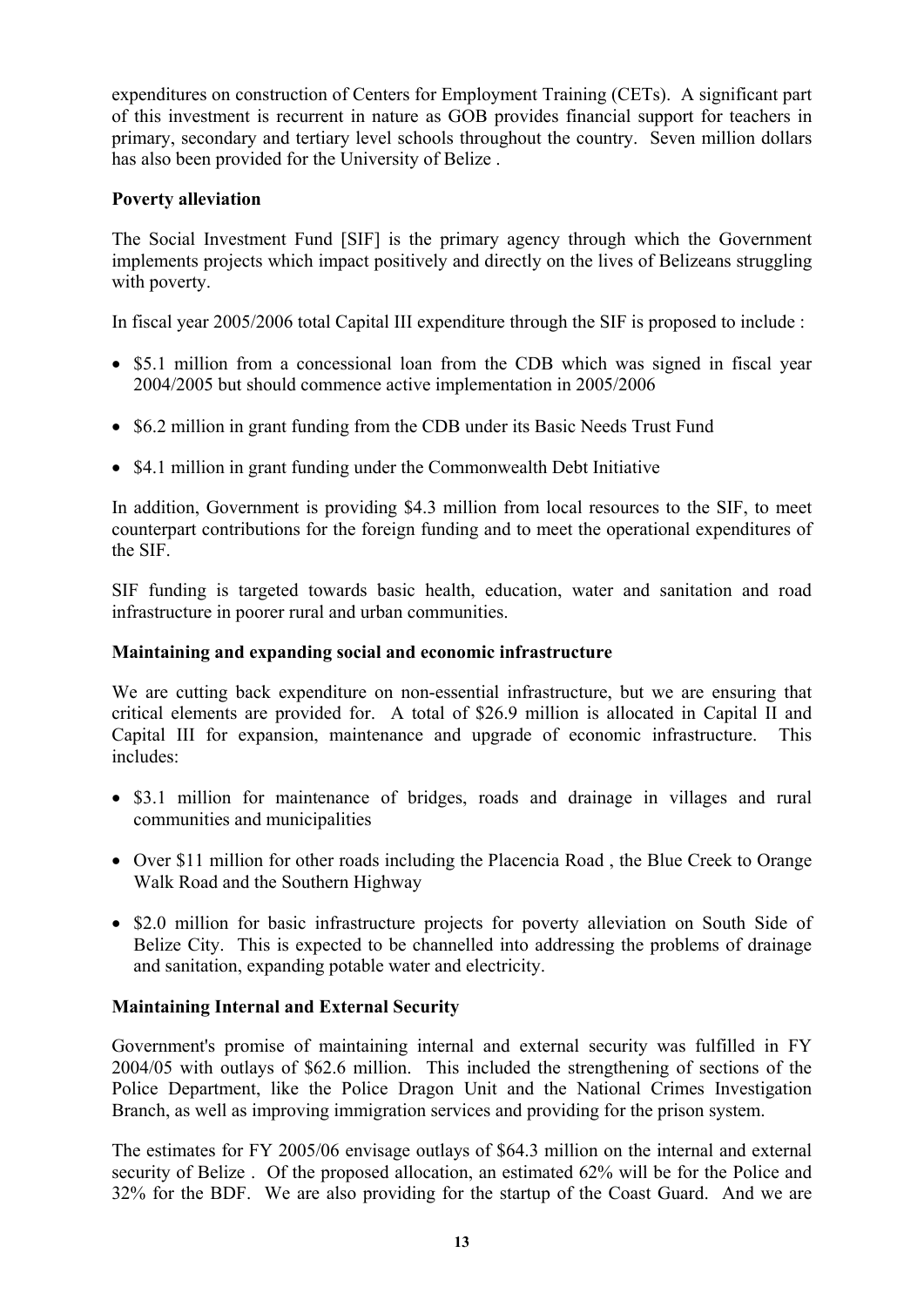expenditures on construction of Centers for Employment Training (CETs). A significant part of this investment is recurrent in nature as GOB provides financial support for teachers in primary, secondary and tertiary level schools throughout the country. Seven million dollars has also been provided for the University of Belize .

# **Poverty alleviation**

The Social Investment Fund [SIF] is the primary agency through which the Government implements projects which impact positively and directly on the lives of Belizeans struggling with poverty.

In fiscal year 2005/2006 total Capital III expenditure through the SIF is proposed to include :

- \$5.1 million from a concessional loan from the CDB which was signed in fiscal year 2004/2005 but should commence active implementation in 2005/2006
- \$6.2 million in grant funding from the CDB under its Basic Needs Trust Fund
- \$4.1 million in grant funding under the Commonwealth Debt Initiative

In addition, Government is providing \$4.3 million from local resources to the SIF, to meet counterpart contributions for the foreign funding and to meet the operational expenditures of the SIF.

SIF funding is targeted towards basic health, education, water and sanitation and road infrastructure in poorer rural and urban communities.

# **Maintaining and expanding social and economic infrastructure**

We are cutting back expenditure on non-essential infrastructure, but we are ensuring that critical elements are provided for. A total of \$26.9 million is allocated in Capital II and Capital III for expansion, maintenance and upgrade of economic infrastructure. This includes:

- \$3.1 million for maintenance of bridges, roads and drainage in villages and rural communities and municipalities
- Over \$11 million for other roads including the Placencia Road , the Blue Creek to Orange Walk Road and the Southern Highway
- \$2.0 million for basic infrastructure projects for poverty alleviation on South Side of Belize City. This is expected to be channelled into addressing the problems of drainage and sanitation, expanding potable water and electricity.

# **Maintaining Internal and External Security**

Government's promise of maintaining internal and external security was fulfilled in FY 2004/05 with outlays of \$62.6 million. This included the strengthening of sections of the Police Department, like the Police Dragon Unit and the National Crimes Investigation Branch, as well as improving immigration services and providing for the prison system.

The estimates for FY 2005/06 envisage outlays of \$64.3 million on the internal and external security of Belize . Of the proposed allocation, an estimated 62% will be for the Police and 32% for the BDF. We are also providing for the startup of the Coast Guard. And we are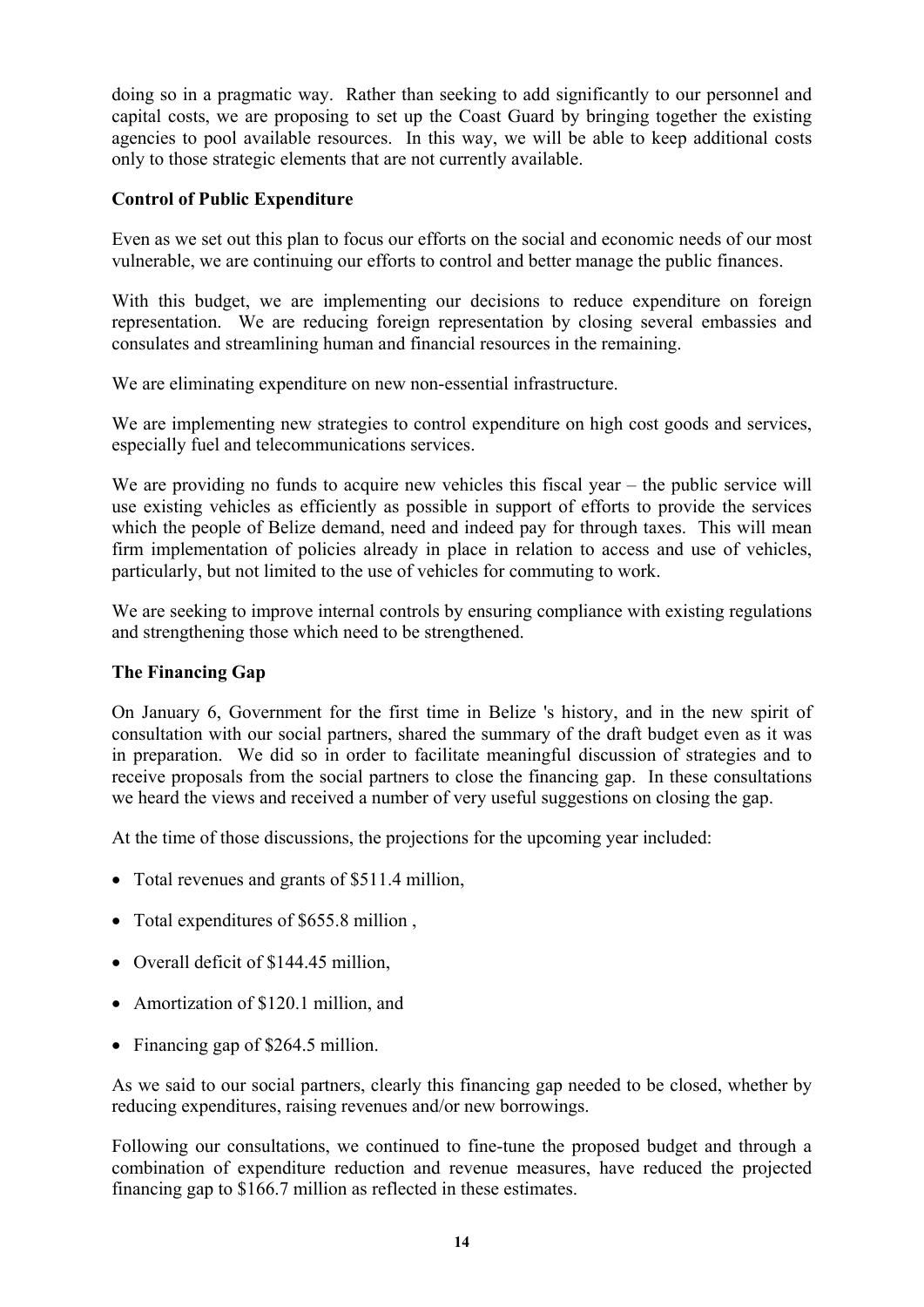doing so in a pragmatic way. Rather than seeking to add significantly to our personnel and capital costs, we are proposing to set up the Coast Guard by bringing together the existing agencies to pool available resources. In this way, we will be able to keep additional costs only to those strategic elements that are not currently available.

# **Control of Public Expenditure**

Even as we set out this plan to focus our efforts on the social and economic needs of our most vulnerable, we are continuing our efforts to control and better manage the public finances.

With this budget, we are implementing our decisions to reduce expenditure on foreign representation. We are reducing foreign representation by closing several embassies and consulates and streamlining human and financial resources in the remaining.

We are eliminating expenditure on new non-essential infrastructure.

We are implementing new strategies to control expenditure on high cost goods and services, especially fuel and telecommunications services.

We are providing no funds to acquire new vehicles this fiscal year – the public service will use existing vehicles as efficiently as possible in support of efforts to provide the services which the people of Belize demand, need and indeed pay for through taxes. This will mean firm implementation of policies already in place in relation to access and use of vehicles, particularly, but not limited to the use of vehicles for commuting to work.

We are seeking to improve internal controls by ensuring compliance with existing regulations and strengthening those which need to be strengthened.

# **The Financing Gap**

On January 6, Government for the first time in Belize 's history, and in the new spirit of consultation with our social partners, shared the summary of the draft budget even as it was in preparation. We did so in order to facilitate meaningful discussion of strategies and to receive proposals from the social partners to close the financing gap. In these consultations we heard the views and received a number of very useful suggestions on closing the gap.

At the time of those discussions, the projections for the upcoming year included:

- Total revenues and grants of \$511.4 million,
- Total expenditures of \$655.8 million,
- Overall deficit of \$144.45 million.
- Amortization of \$120.1 million, and
- Financing gap of \$264.5 million.

As we said to our social partners, clearly this financing gap needed to be closed, whether by reducing expenditures, raising revenues and/or new borrowings.

Following our consultations, we continued to fine-tune the proposed budget and through a combination of expenditure reduction and revenue measures, have reduced the projected financing gap to \$166.7 million as reflected in these estimates.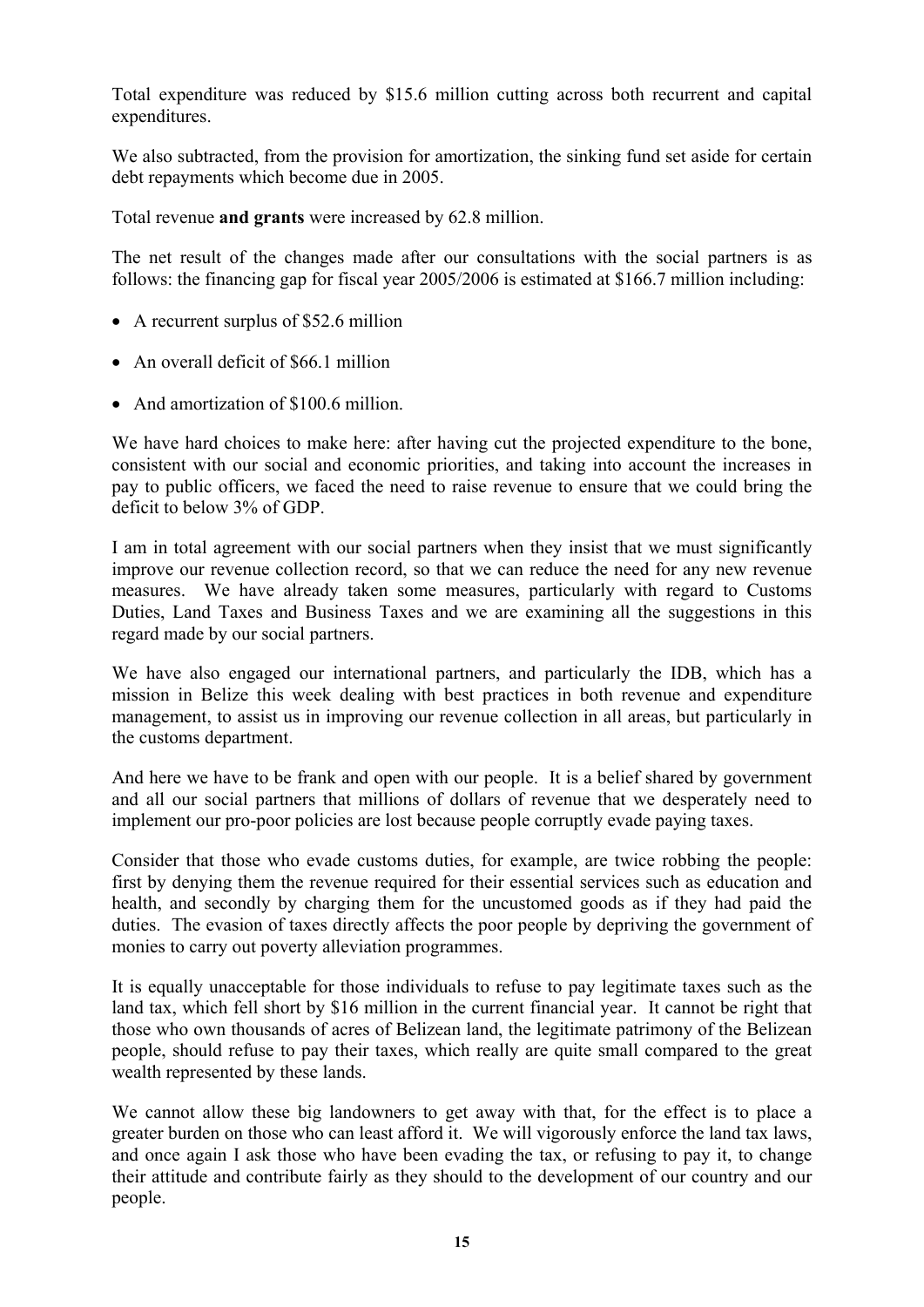Total expenditure was reduced by \$15.6 million cutting across both recurrent and capital expenditures.

We also subtracted, from the provision for amortization, the sinking fund set aside for certain debt repayments which become due in 2005.

Total revenue **and grants** were increased by 62.8 million.

The net result of the changes made after our consultations with the social partners is as follows: the financing gap for fiscal year 2005/2006 is estimated at \$166.7 million including:

- A recurrent surplus of \$52.6 million
- An overall deficit of \$66.1 million
- And amortization of \$100.6 million.

We have hard choices to make here: after having cut the projected expenditure to the bone, consistent with our social and economic priorities, and taking into account the increases in pay to public officers, we faced the need to raise revenue to ensure that we could bring the deficit to below 3% of GDP.

I am in total agreement with our social partners when they insist that we must significantly improve our revenue collection record, so that we can reduce the need for any new revenue measures. We have already taken some measures, particularly with regard to Customs Duties, Land Taxes and Business Taxes and we are examining all the suggestions in this regard made by our social partners.

We have also engaged our international partners, and particularly the IDB, which has a mission in Belize this week dealing with best practices in both revenue and expenditure management, to assist us in improving our revenue collection in all areas, but particularly in the customs department.

And here we have to be frank and open with our people. It is a belief shared by government and all our social partners that millions of dollars of revenue that we desperately need to implement our pro-poor policies are lost because people corruptly evade paying taxes.

Consider that those who evade customs duties, for example, are twice robbing the people: first by denying them the revenue required for their essential services such as education and health, and secondly by charging them for the uncustomed goods as if they had paid the duties. The evasion of taxes directly affects the poor people by depriving the government of monies to carry out poverty alleviation programmes.

It is equally unacceptable for those individuals to refuse to pay legitimate taxes such as the land tax, which fell short by \$16 million in the current financial year. It cannot be right that those who own thousands of acres of Belizean land, the legitimate patrimony of the Belizean people, should refuse to pay their taxes, which really are quite small compared to the great wealth represented by these lands.

We cannot allow these big landowners to get away with that, for the effect is to place a greater burden on those who can least afford it. We will vigorously enforce the land tax laws, and once again I ask those who have been evading the tax, or refusing to pay it, to change their attitude and contribute fairly as they should to the development of our country and our people.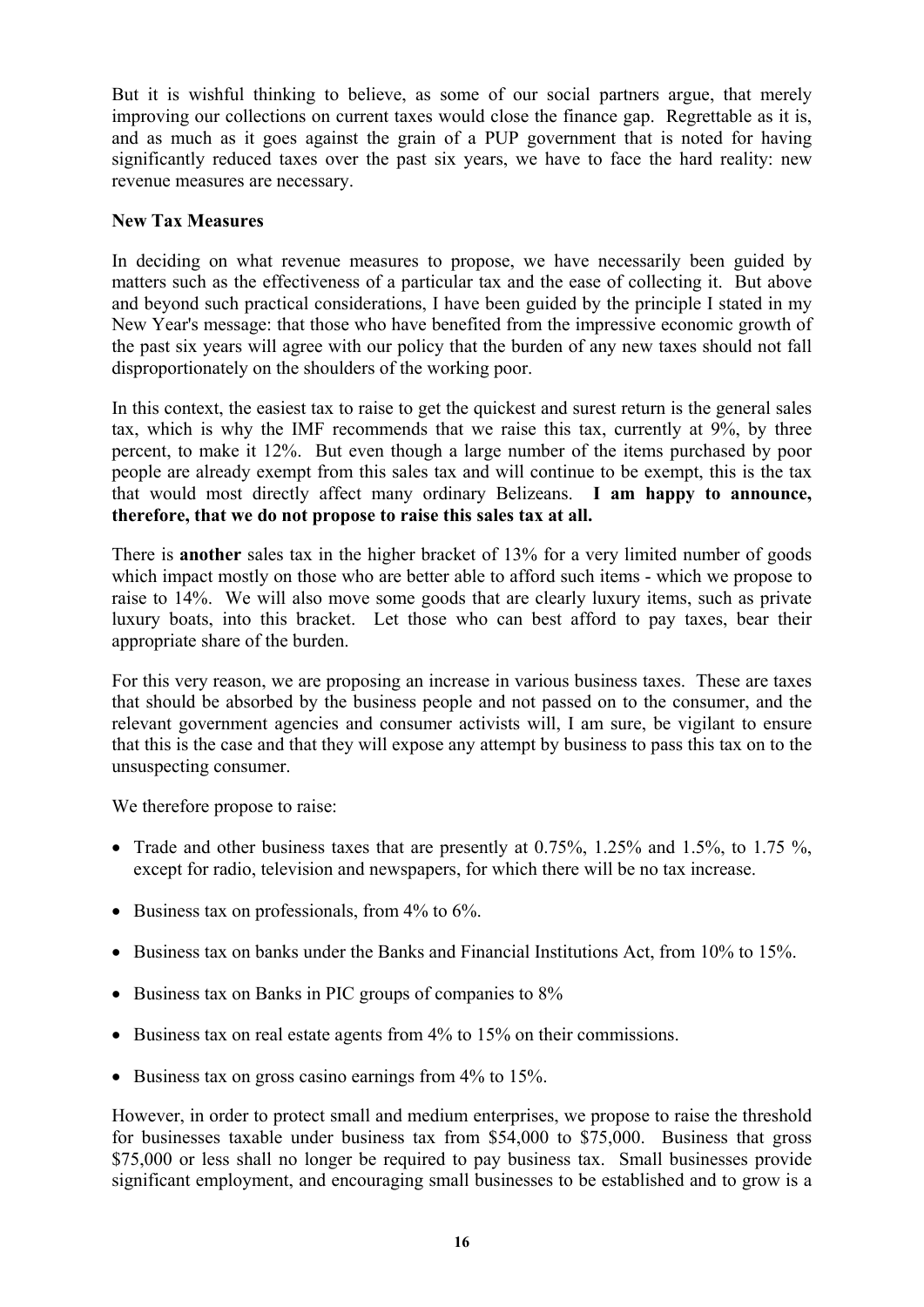But it is wishful thinking to believe, as some of our social partners argue, that merely improving our collections on current taxes would close the finance gap. Regrettable as it is, and as much as it goes against the grain of a PUP government that is noted for having significantly reduced taxes over the past six years, we have to face the hard reality: new revenue measures are necessary.

# **New Tax Measures**

In deciding on what revenue measures to propose, we have necessarily been guided by matters such as the effectiveness of a particular tax and the ease of collecting it. But above and beyond such practical considerations, I have been guided by the principle I stated in my New Year's message: that those who have benefited from the impressive economic growth of the past six years will agree with our policy that the burden of any new taxes should not fall disproportionately on the shoulders of the working poor.

In this context, the easiest tax to raise to get the quickest and surest return is the general sales tax, which is why the IMF recommends that we raise this tax, currently at 9%, by three percent, to make it 12%. But even though a large number of the items purchased by poor people are already exempt from this sales tax and will continue to be exempt, this is the tax that would most directly affect many ordinary Belizeans. **I am happy to announce, therefore, that we do not propose to raise this sales tax at all.** 

There is **another** sales tax in the higher bracket of 13% for a very limited number of goods which impact mostly on those who are better able to afford such items - which we propose to raise to 14%. We will also move some goods that are clearly luxury items, such as private luxury boats, into this bracket. Let those who can best afford to pay taxes, bear their appropriate share of the burden.

For this very reason, we are proposing an increase in various business taxes. These are taxes that should be absorbed by the business people and not passed on to the consumer, and the relevant government agencies and consumer activists will, I am sure, be vigilant to ensure that this is the case and that they will expose any attempt by business to pass this tax on to the unsuspecting consumer.

We therefore propose to raise:

- Trade and other business taxes that are presently at  $0.75\%$ ,  $1.25\%$  and  $1.5\%$ , to  $1.75\%$ , except for radio, television and newspapers, for which there will be no tax increase.
- Business tax on professionals, from 4% to 6%.
- Business tax on banks under the Banks and Financial Institutions Act, from 10% to 15%.
- Business tax on Banks in PIC groups of companies to 8%
- Business tax on real estate agents from 4% to 15% on their commissions.
- Business tax on gross casino earnings from 4% to 15%.

However, in order to protect small and medium enterprises, we propose to raise the threshold for businesses taxable under business tax from \$54,000 to \$75,000. Business that gross \$75,000 or less shall no longer be required to pay business tax. Small businesses provide significant employment, and encouraging small businesses to be established and to grow is a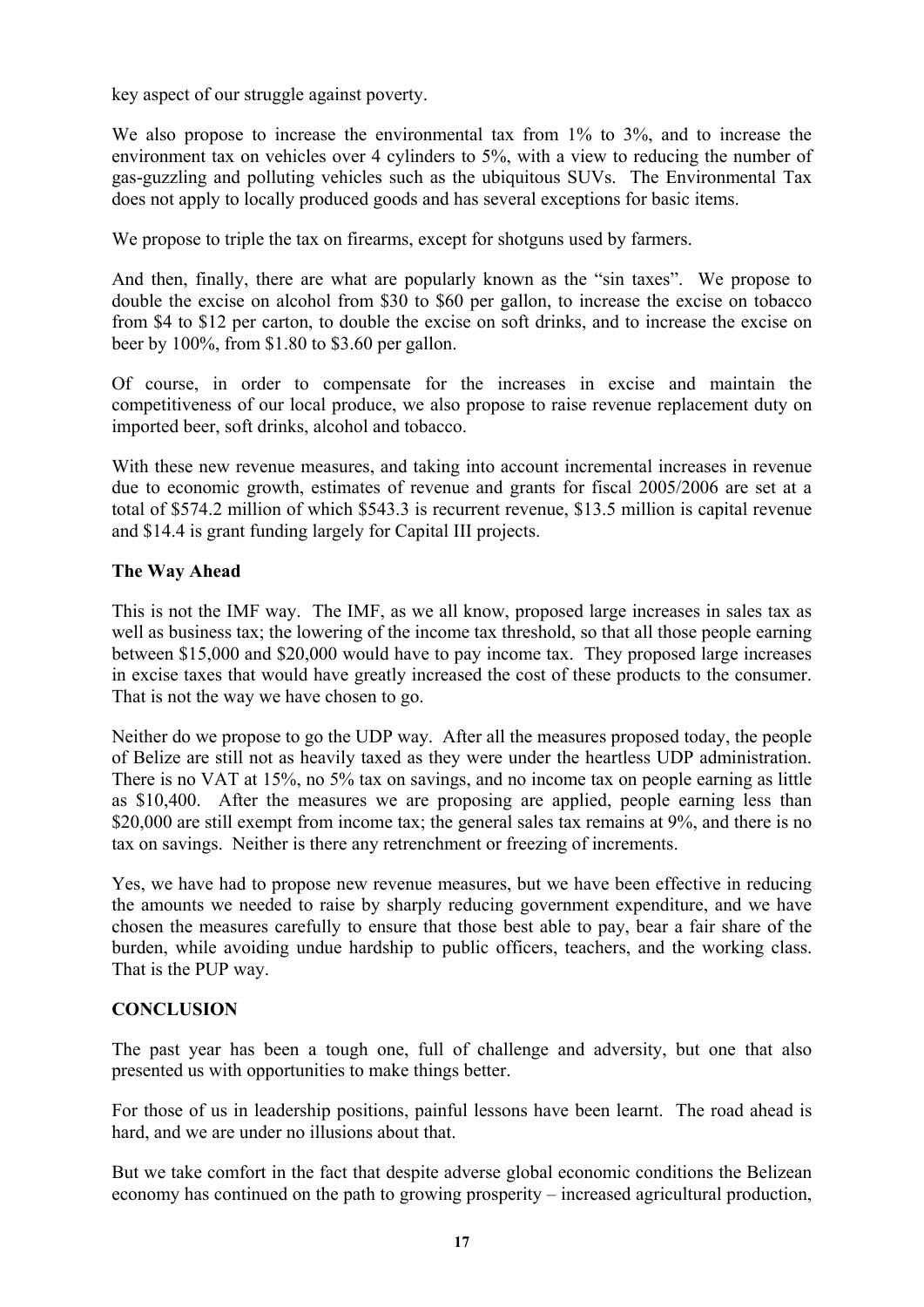key aspect of our struggle against poverty.

We also propose to increase the environmental tax from 1% to 3%, and to increase the environment tax on vehicles over 4 cylinders to 5%, with a view to reducing the number of gas-guzzling and polluting vehicles such as the ubiquitous SUVs. The Environmental Tax does not apply to locally produced goods and has several exceptions for basic items.

We propose to triple the tax on firearms, except for shotguns used by farmers.

And then, finally, there are what are popularly known as the "sin taxes". We propose to double the excise on alcohol from \$30 to \$60 per gallon, to increase the excise on tobacco from \$4 to \$12 per carton, to double the excise on soft drinks, and to increase the excise on beer by 100%, from \$1.80 to \$3.60 per gallon.

Of course, in order to compensate for the increases in excise and maintain the competitiveness of our local produce, we also propose to raise revenue replacement duty on imported beer, soft drinks, alcohol and tobacco.

With these new revenue measures, and taking into account incremental increases in revenue due to economic growth, estimates of revenue and grants for fiscal 2005/2006 are set at a total of \$574.2 million of which \$543.3 is recurrent revenue, \$13.5 million is capital revenue and \$14.4 is grant funding largely for Capital III projects.

#### **The Way Ahead**

This is not the IMF way. The IMF, as we all know, proposed large increases in sales tax as well as business tax; the lowering of the income tax threshold, so that all those people earning between \$15,000 and \$20,000 would have to pay income tax. They proposed large increases in excise taxes that would have greatly increased the cost of these products to the consumer. That is not the way we have chosen to go.

Neither do we propose to go the UDP way. After all the measures proposed today, the people of Belize are still not as heavily taxed as they were under the heartless UDP administration. There is no VAT at 15%, no 5% tax on savings, and no income tax on people earning as little as \$10,400. After the measures we are proposing are applied, people earning less than \$20,000 are still exempt from income tax; the general sales tax remains at 9%, and there is no tax on savings. Neither is there any retrenchment or freezing of increments.

Yes, we have had to propose new revenue measures, but we have been effective in reducing the amounts we needed to raise by sharply reducing government expenditure, and we have chosen the measures carefully to ensure that those best able to pay, bear a fair share of the burden, while avoiding undue hardship to public officers, teachers, and the working class. That is the PUP way.

#### **CONCLUSION**

The past year has been a tough one, full of challenge and adversity, but one that also presented us with opportunities to make things better.

For those of us in leadership positions, painful lessons have been learnt. The road ahead is hard, and we are under no illusions about that.

But we take comfort in the fact that despite adverse global economic conditions the Belizean economy has continued on the path to growing prosperity – increased agricultural production,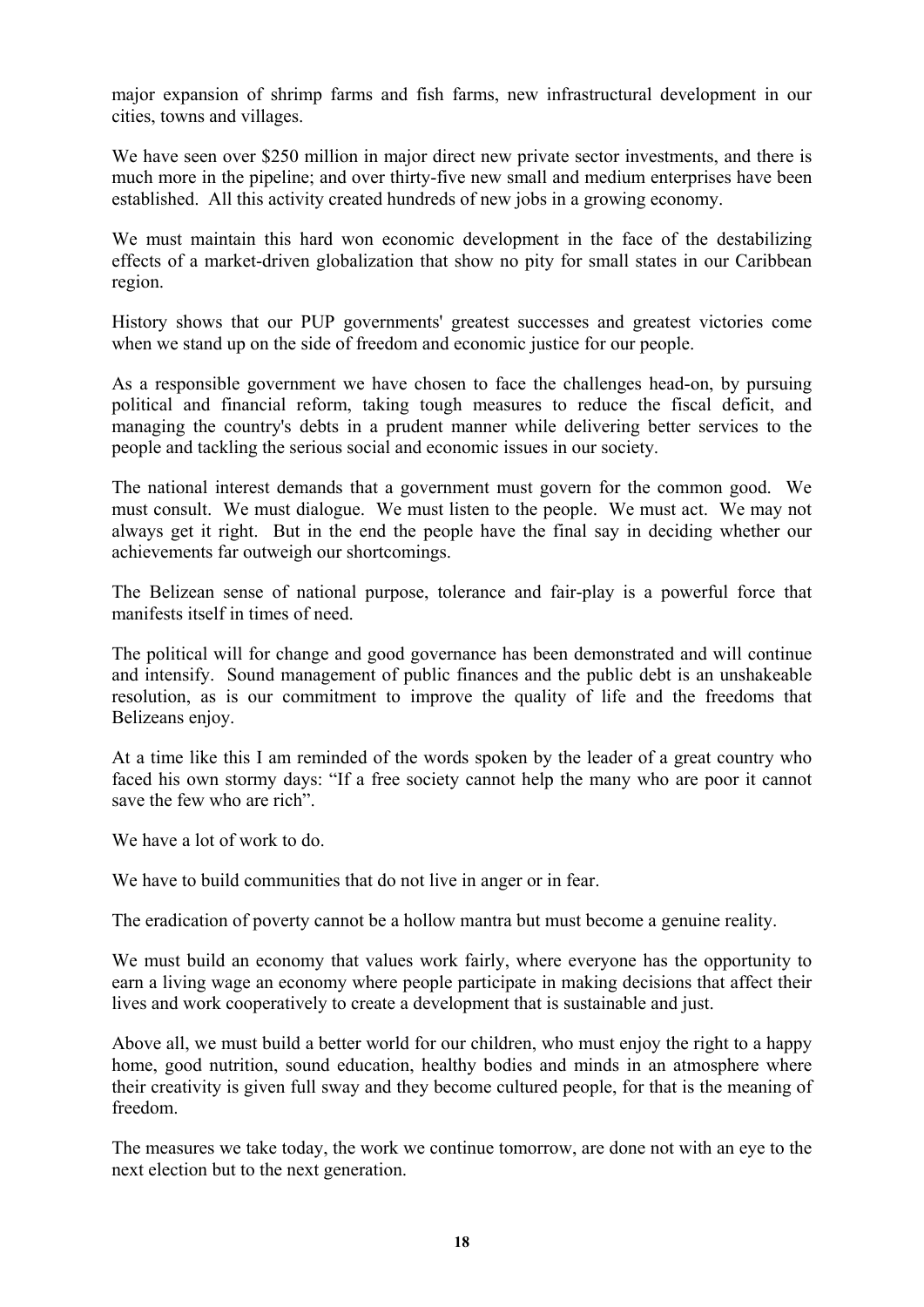major expansion of shrimp farms and fish farms, new infrastructural development in our cities, towns and villages.

We have seen over \$250 million in major direct new private sector investments, and there is much more in the pipeline; and over thirty-five new small and medium enterprises have been established. All this activity created hundreds of new jobs in a growing economy.

We must maintain this hard won economic development in the face of the destabilizing effects of a market-driven globalization that show no pity for small states in our Caribbean region.

History shows that our PUP governments' greatest successes and greatest victories come when we stand up on the side of freedom and economic justice for our people.

As a responsible government we have chosen to face the challenges head-on, by pursuing political and financial reform, taking tough measures to reduce the fiscal deficit, and managing the country's debts in a prudent manner while delivering better services to the people and tackling the serious social and economic issues in our society.

The national interest demands that a government must govern for the common good. We must consult. We must dialogue. We must listen to the people. We must act. We may not always get it right. But in the end the people have the final say in deciding whether our achievements far outweigh our shortcomings.

The Belizean sense of national purpose, tolerance and fair-play is a powerful force that manifests itself in times of need.

The political will for change and good governance has been demonstrated and will continue and intensify. Sound management of public finances and the public debt is an unshakeable resolution, as is our commitment to improve the quality of life and the freedoms that Belizeans enjoy.

At a time like this I am reminded of the words spoken by the leader of a great country who faced his own stormy days: "If a free society cannot help the many who are poor it cannot save the few who are rich".

We have a lot of work to do.

We have to build communities that do not live in anger or in fear.

The eradication of poverty cannot be a hollow mantra but must become a genuine reality.

We must build an economy that values work fairly, where everyone has the opportunity to earn a living wage an economy where people participate in making decisions that affect their lives and work cooperatively to create a development that is sustainable and just.

Above all, we must build a better world for our children, who must enjoy the right to a happy home, good nutrition, sound education, healthy bodies and minds in an atmosphere where their creativity is given full sway and they become cultured people, for that is the meaning of freedom.

The measures we take today, the work we continue tomorrow, are done not with an eye to the next election but to the next generation.